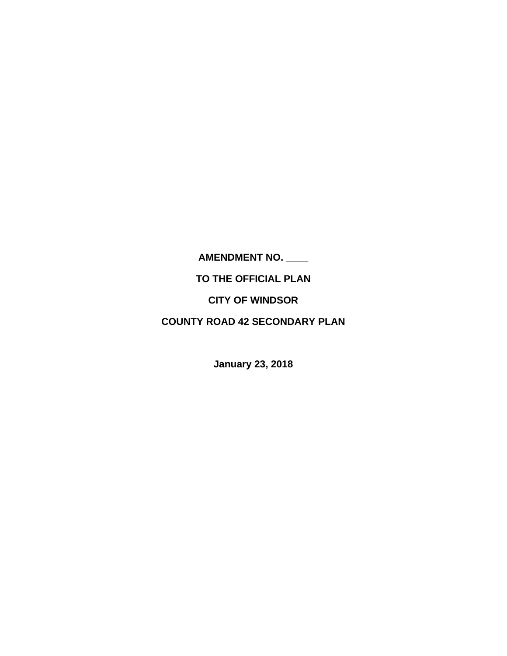**AMENDMENT NO. \_\_\_\_** 

**TO THE OFFICIAL PLAN** 

**CITY OF WINDSOR** 

**COUNTY ROAD 42 SECONDARY PLAN** 

**January 23, 2018**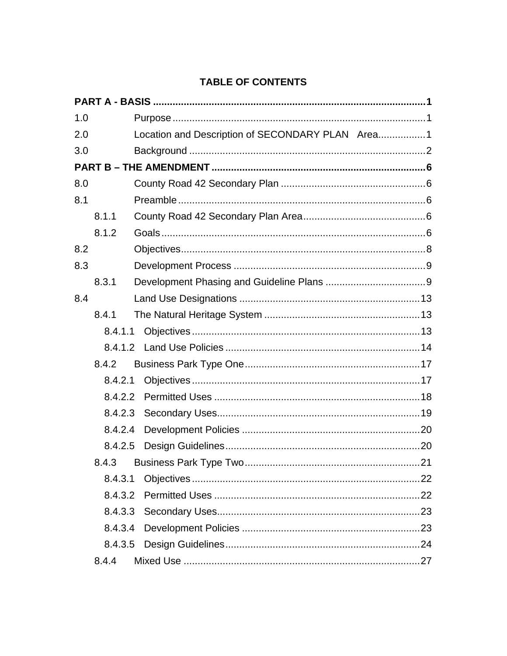# **TABLE OF CONTENTS**

| 1.0 |         |                                                  |  |
|-----|---------|--------------------------------------------------|--|
| 2.0 |         | Location and Description of SECONDARY PLAN Area1 |  |
| 3.0 |         |                                                  |  |
|     |         |                                                  |  |
| 8.0 |         |                                                  |  |
| 8.1 |         |                                                  |  |
|     | 8.1.1   |                                                  |  |
|     | 8.1.2   |                                                  |  |
| 8.2 |         |                                                  |  |
| 8.3 |         |                                                  |  |
|     | 8.3.1   |                                                  |  |
| 8.4 |         |                                                  |  |
|     | 8.4.1   |                                                  |  |
|     | 8.4.1.1 |                                                  |  |
|     |         |                                                  |  |
|     | 8.4.2   |                                                  |  |
|     | 8.4.2.1 |                                                  |  |
|     | 8.4.2.2 |                                                  |  |
|     | 8.4.2.3 |                                                  |  |
|     | 8.4.2.4 |                                                  |  |
|     | 8.4.2.5 |                                                  |  |
|     | 8.4.3   |                                                  |  |
|     | 8.4.3.1 |                                                  |  |
|     | 8.4.3.2 |                                                  |  |
|     |         |                                                  |  |
|     | 8.4.3.4 |                                                  |  |
|     | 8.4.3.5 |                                                  |  |
|     | 8.4.4   |                                                  |  |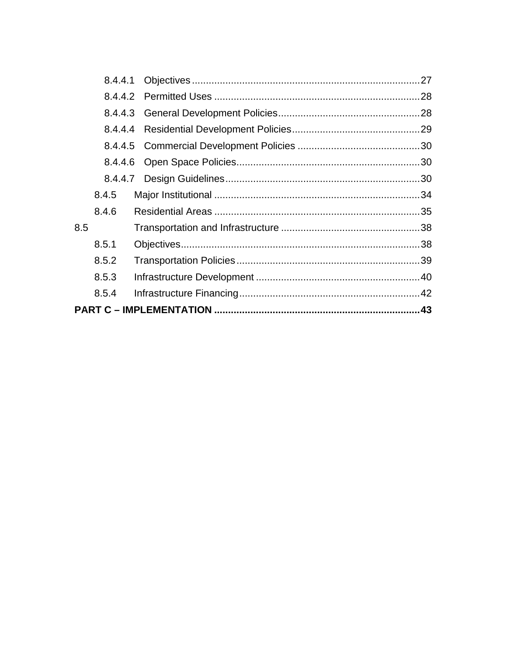|     | 8.4.4.1 |  |
|-----|---------|--|
|     |         |  |
|     | 8.4.4.3 |  |
|     | 8.4.4.4 |  |
|     |         |  |
|     | 8.4.4.6 |  |
|     |         |  |
|     | 8.4.5   |  |
|     | 8.4.6   |  |
| 8.5 |         |  |
|     | 8.5.1   |  |
|     | 8.5.2   |  |
|     | 8.5.3   |  |
|     | 8.5.4   |  |
|     |         |  |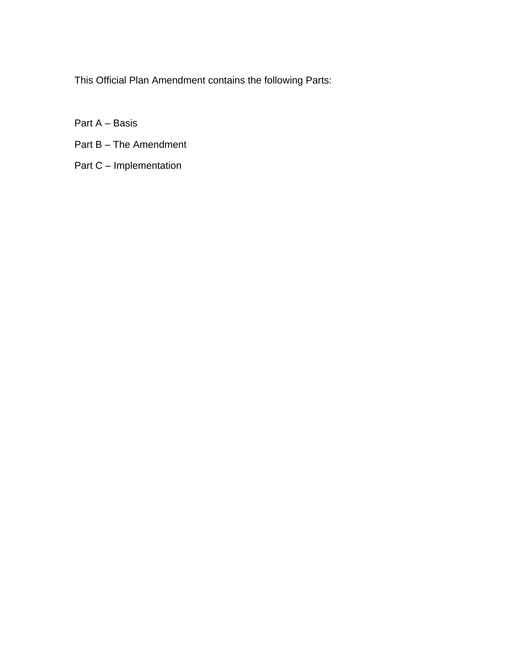This Official Plan Amendment contains the following Parts:

Part A – Basis

- Part B The Amendment
- Part C Implementation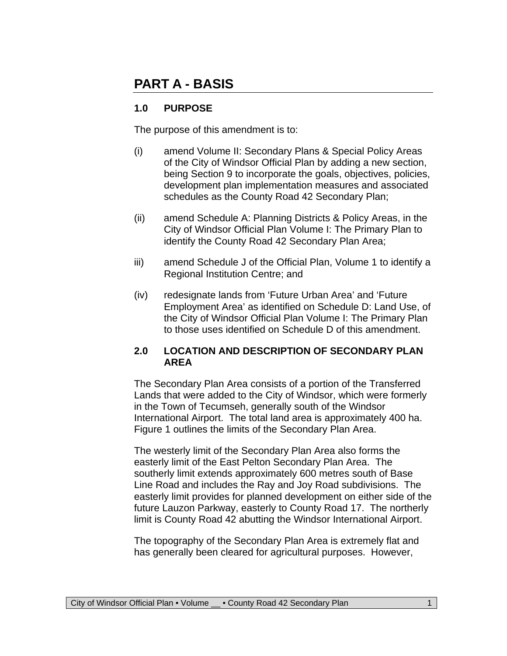# **PART A - BASIS**

## **1.0 PURPOSE**

The purpose of this amendment is to:

- (i) amend Volume II: Secondary Plans & Special Policy Areas of the City of Windsor Official Plan by adding a new section, being Section 9 to incorporate the goals, objectives, policies, development plan implementation measures and associated schedules as the County Road 42 Secondary Plan;
- (ii) amend Schedule A: Planning Districts & Policy Areas, in the City of Windsor Official Plan Volume I: The Primary Plan to identify the County Road 42 Secondary Plan Area;
- iii) amend Schedule J of the Official Plan, Volume 1 to identify a Regional Institution Centre; and
- (iv) redesignate lands from 'Future Urban Area' and 'Future Employment Area' as identified on Schedule D: Land Use, of the City of Windsor Official Plan Volume I: The Primary Plan to those uses identified on Schedule D of this amendment.

#### **2.0 LOCATION AND DESCRIPTION OF SECONDARY PLAN AREA**

The Secondary Plan Area consists of a portion of the Transferred Lands that were added to the City of Windsor, which were formerly in the Town of Tecumseh, generally south of the Windsor International Airport. The total land area is approximately 400 ha. Figure 1 outlines the limits of the Secondary Plan Area.

The westerly limit of the Secondary Plan Area also forms the easterly limit of the East Pelton Secondary Plan Area. The southerly limit extends approximately 600 metres south of Base Line Road and includes the Ray and Joy Road subdivisions. The easterly limit provides for planned development on either side of the future Lauzon Parkway, easterly to County Road 17. The northerly limit is County Road 42 abutting the Windsor International Airport.

The topography of the Secondary Plan Area is extremely flat and has generally been cleared for agricultural purposes. However,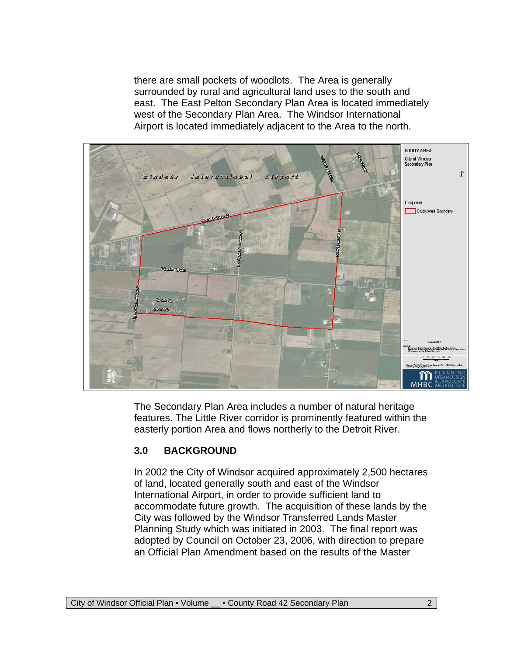there are small pockets of woodlots. The Area is generally surrounded by rural and agricultural land uses to the south and east. The East Pelton Secondary Plan Area is located immediately west of the Secondary Plan Area. The Windsor International Airport is located immediately adjacent to the Area to the north.



The Secondary Plan Area includes a number of natural heritage features. The Little River corridor is prominently featured within the easterly portion Area and flows northerly to the Detroit River.

#### **3.0 BACKGROUND**

In 2002 the City of Windsor acquired approximately 2,500 hectares of land, located generally south and east of the Windsor International Airport, in order to provide sufficient land to accommodate future growth. The acquisition of these lands by the City was followed by the Windsor Transferred Lands Master Planning Study which was initiated in 2003. The final report was adopted by Council on October 23, 2006, with direction to prepare an Official Plan Amendment based on the results of the Master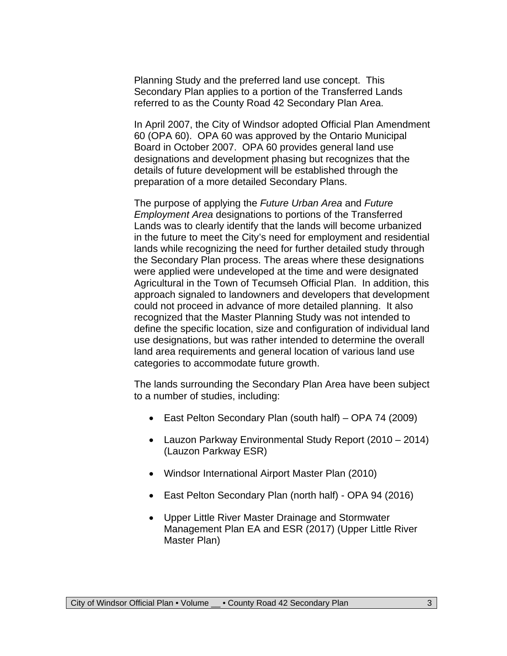Planning Study and the preferred land use concept. This Secondary Plan applies to a portion of the Transferred Lands referred to as the County Road 42 Secondary Plan Area.

In April 2007, the City of Windsor adopted Official Plan Amendment 60 (OPA 60). OPA 60 was approved by the Ontario Municipal Board in October 2007. OPA 60 provides general land use designations and development phasing but recognizes that the details of future development will be established through the preparation of a more detailed Secondary Plans.

The purpose of applying the *Future Urban Area* and *Future Employment Area* designations to portions of the Transferred Lands was to clearly identify that the lands will become urbanized in the future to meet the City's need for employment and residential lands while recognizing the need for further detailed study through the Secondary Plan process. The areas where these designations were applied were undeveloped at the time and were designated Agricultural in the Town of Tecumseh Official Plan. In addition, this approach signaled to landowners and developers that development could not proceed in advance of more detailed planning. It also recognized that the Master Planning Study was not intended to define the specific location, size and configuration of individual land use designations, but was rather intended to determine the overall land area requirements and general location of various land use categories to accommodate future growth.

The lands surrounding the Secondary Plan Area have been subject to a number of studies, including:

- East Pelton Secondary Plan (south half) OPA 74 (2009)
- Lauzon Parkway Environmental Study Report (2010 2014) (Lauzon Parkway ESR)
- Windsor International Airport Master Plan (2010)
- East Pelton Secondary Plan (north half) OPA 94 (2016)
- Upper Little River Master Drainage and Stormwater Management Plan EA and ESR (2017) (Upper Little River Master Plan)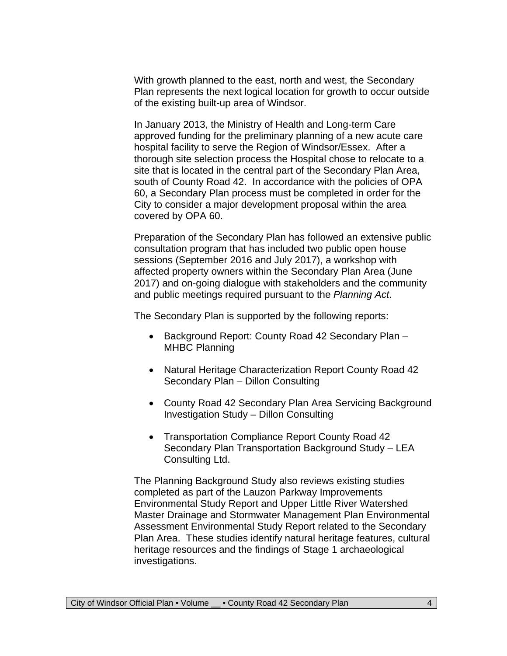With growth planned to the east, north and west, the Secondary Plan represents the next logical location for growth to occur outside of the existing built-up area of Windsor.

In January 2013, the Ministry of Health and Long-term Care approved funding for the preliminary planning of a new acute care hospital facility to serve the Region of Windsor/Essex. After a thorough site selection process the Hospital chose to relocate to a site that is located in the central part of the Secondary Plan Area, south of County Road 42. In accordance with the policies of OPA 60, a Secondary Plan process must be completed in order for the City to consider a major development proposal within the area covered by OPA 60.

Preparation of the Secondary Plan has followed an extensive public consultation program that has included two public open house sessions (September 2016 and July 2017), a workshop with affected property owners within the Secondary Plan Area (June 2017) and on-going dialogue with stakeholders and the community and public meetings required pursuant to the *Planning Act*.

The Secondary Plan is supported by the following reports:

- Background Report: County Road 42 Secondary Plan -MHBC Planning
- Natural Heritage Characterization Report County Road 42 Secondary Plan – Dillon Consulting
- County Road 42 Secondary Plan Area Servicing Background Investigation Study – Dillon Consulting
- Transportation Compliance Report County Road 42 Secondary Plan Transportation Background Study – LEA Consulting Ltd.

The Planning Background Study also reviews existing studies completed as part of the Lauzon Parkway Improvements Environmental Study Report and Upper Little River Watershed Master Drainage and Stormwater Management Plan Environmental Assessment Environmental Study Report related to the Secondary Plan Area. These studies identify natural heritage features, cultural heritage resources and the findings of Stage 1 archaeological investigations.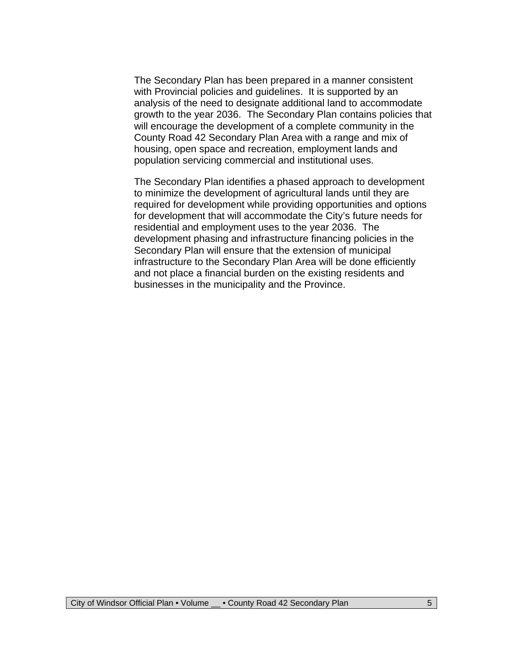The Secondary Plan has been prepared in a manner consistent with Provincial policies and guidelines. It is supported by an analysis of the need to designate additional land to accommodate growth to the year 2036. The Secondary Plan contains policies that will encourage the development of a complete community in the County Road 42 Secondary Plan Area with a range and mix of housing, open space and recreation, employment lands and population servicing commercial and institutional uses.

The Secondary Plan identifies a phased approach to development to minimize the development of agricultural lands until they are required for development while providing opportunities and options for development that will accommodate the City's future needs for residential and employment uses to the year 2036. The development phasing and infrastructure financing policies in the Secondary Plan will ensure that the extension of municipal infrastructure to the Secondary Plan Area will be done efficiently and not place a financial burden on the existing residents and businesses in the municipality and the Province.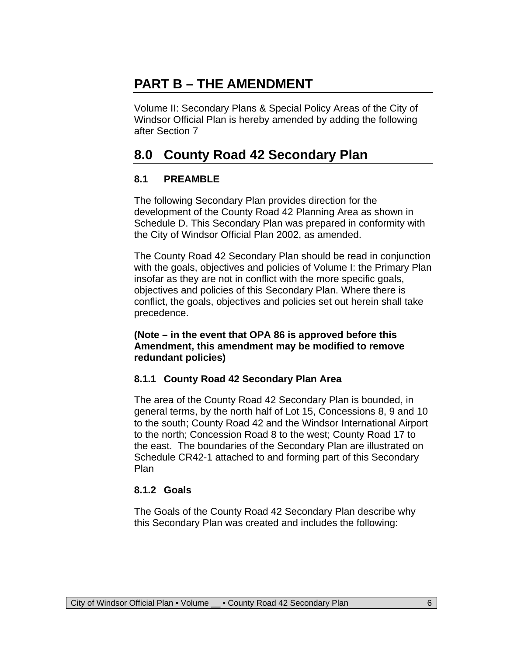# **PART B – THE AMENDMENT**

Volume II: Secondary Plans & Special Policy Areas of the City of Windsor Official Plan is hereby amended by adding the following after Section 7

# **8.0 County Road 42 Secondary Plan**

#### **8.1 PREAMBLE**

The following Secondary Plan provides direction for the development of the County Road 42 Planning Area as shown in Schedule D. This Secondary Plan was prepared in conformity with the City of Windsor Official Plan 2002, as amended.

The County Road 42 Secondary Plan should be read in conjunction with the goals, objectives and policies of Volume I: the Primary Plan insofar as they are not in conflict with the more specific goals, objectives and policies of this Secondary Plan. Where there is conflict, the goals, objectives and policies set out herein shall take precedence.

#### **(Note – in the event that OPA 86 is approved before this Amendment, this amendment may be modified to remove redundant policies)**

#### **8.1.1 County Road 42 Secondary Plan Area**

The area of the County Road 42 Secondary Plan is bounded, in general terms, by the north half of Lot 15, Concessions 8, 9 and 10 to the south; County Road 42 and the Windsor International Airport to the north; Concession Road 8 to the west; County Road 17 to the east. The boundaries of the Secondary Plan are illustrated on Schedule CR42-1 attached to and forming part of this Secondary Plan

#### **8.1.2 Goals**

The Goals of the County Road 42 Secondary Plan describe why this Secondary Plan was created and includes the following: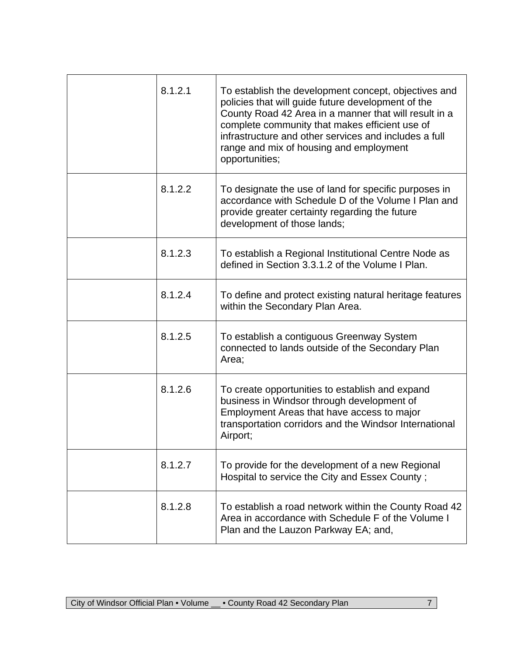| 8.1.2.1 | To establish the development concept, objectives and<br>policies that will guide future development of the<br>County Road 42 Area in a manner that will result in a<br>complete community that makes efficient use of<br>infrastructure and other services and includes a full<br>range and mix of housing and employment<br>opportunities; |
|---------|---------------------------------------------------------------------------------------------------------------------------------------------------------------------------------------------------------------------------------------------------------------------------------------------------------------------------------------------|
| 8.1.2.2 | To designate the use of land for specific purposes in<br>accordance with Schedule D of the Volume I Plan and<br>provide greater certainty regarding the future<br>development of those lands;                                                                                                                                               |
| 8.1.2.3 | To establish a Regional Institutional Centre Node as<br>defined in Section 3.3.1.2 of the Volume I Plan.                                                                                                                                                                                                                                    |
| 8.1.2.4 | To define and protect existing natural heritage features<br>within the Secondary Plan Area.                                                                                                                                                                                                                                                 |
| 8.1.2.5 | To establish a contiguous Greenway System<br>connected to lands outside of the Secondary Plan<br>Area;                                                                                                                                                                                                                                      |
| 8.1.2.6 | To create opportunities to establish and expand<br>business in Windsor through development of<br>Employment Areas that have access to major<br>transportation corridors and the Windsor International<br>Airport;                                                                                                                           |
| 8.1.2.7 | To provide for the development of a new Regional<br>Hospital to service the City and Essex County;                                                                                                                                                                                                                                          |
| 8.1.2.8 | To establish a road network within the County Road 42<br>Area in accordance with Schedule F of the Volume I<br>Plan and the Lauzon Parkway EA; and,                                                                                                                                                                                         |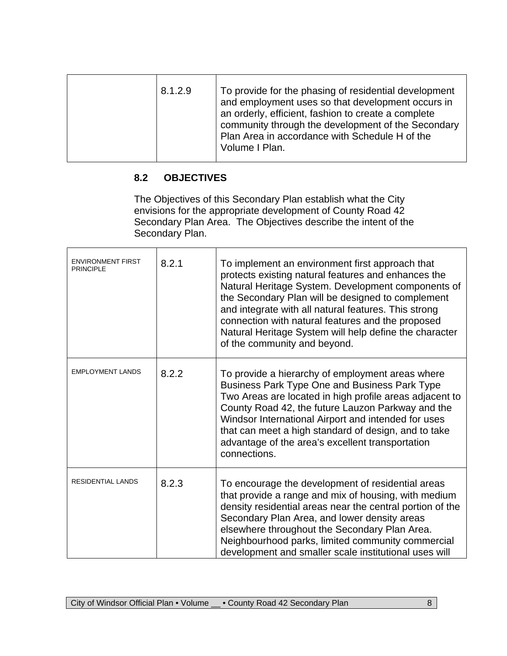| 8.1.2.9 | To provide for the phasing of residential development<br>and employment uses so that development occurs in<br>an orderly, efficient, fashion to create a complete<br>community through the development of the Secondary<br>Plan Area in accordance with Schedule H of the<br>Volume I Plan. |
|---------|---------------------------------------------------------------------------------------------------------------------------------------------------------------------------------------------------------------------------------------------------------------------------------------------|
|         |                                                                                                                                                                                                                                                                                             |

# **8.2 OBJECTIVES**

The Objectives of this Secondary Plan establish what the City envisions for the appropriate development of County Road 42 Secondary Plan Area. The Objectives describe the intent of the Secondary Plan.

| <b>ENVIRONMENT FIRST</b><br><b>PRINCIPLE</b> | 8.2.1 | To implement an environment first approach that<br>protects existing natural features and enhances the<br>Natural Heritage System. Development components of<br>the Secondary Plan will be designed to complement<br>and integrate with all natural features. This strong<br>connection with natural features and the proposed<br>Natural Heritage System will help define the character<br>of the community and beyond. |
|----------------------------------------------|-------|--------------------------------------------------------------------------------------------------------------------------------------------------------------------------------------------------------------------------------------------------------------------------------------------------------------------------------------------------------------------------------------------------------------------------|
| <b>EMPLOYMENT LANDS</b>                      | 8.2.2 | To provide a hierarchy of employment areas where<br>Business Park Type One and Business Park Type<br>Two Areas are located in high profile areas adjacent to<br>County Road 42, the future Lauzon Parkway and the<br>Windsor International Airport and intended for uses<br>that can meet a high standard of design, and to take<br>advantage of the area's excellent transportation<br>connections.                     |
| <b>RESIDENTIAL LANDS</b>                     | 8.2.3 | To encourage the development of residential areas<br>that provide a range and mix of housing, with medium<br>density residential areas near the central portion of the<br>Secondary Plan Area, and lower density areas<br>elsewhere throughout the Secondary Plan Area.<br>Neighbourhood parks, limited community commercial<br>development and smaller scale institutional uses will                                    |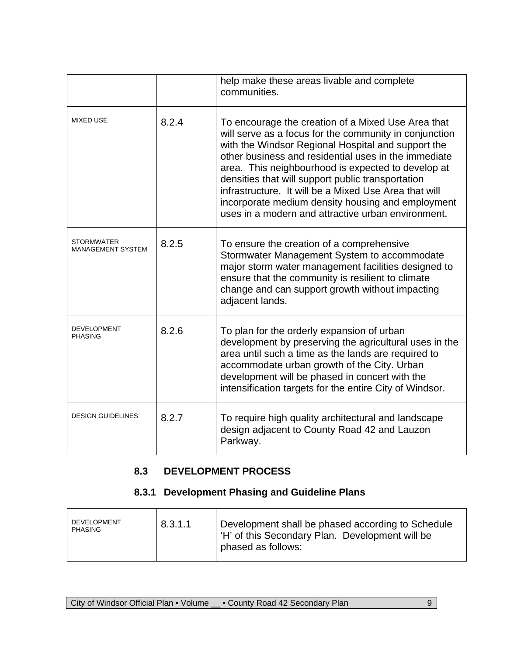|                                               |       | help make these areas livable and complete<br>communities.                                                                                                                                                                                                                                                                                                                                                                                                                                                |
|-----------------------------------------------|-------|-----------------------------------------------------------------------------------------------------------------------------------------------------------------------------------------------------------------------------------------------------------------------------------------------------------------------------------------------------------------------------------------------------------------------------------------------------------------------------------------------------------|
| <b>MIXED USE</b>                              | 8.2.4 | To encourage the creation of a Mixed Use Area that<br>will serve as a focus for the community in conjunction<br>with the Windsor Regional Hospital and support the<br>other business and residential uses in the immediate<br>area. This neighbourhood is expected to develop at<br>densities that will support public transportation<br>infrastructure. It will be a Mixed Use Area that will<br>incorporate medium density housing and employment<br>uses in a modern and attractive urban environment. |
| <b>STORMWATER</b><br><b>MANAGEMENT SYSTEM</b> | 8.2.5 | To ensure the creation of a comprehensive<br>Stormwater Management System to accommodate<br>major storm water management facilities designed to<br>ensure that the community is resilient to climate<br>change and can support growth without impacting<br>adjacent lands.                                                                                                                                                                                                                                |
| <b>DEVELOPMENT</b><br><b>PHASING</b>          | 8.2.6 | To plan for the orderly expansion of urban<br>development by preserving the agricultural uses in the<br>area until such a time as the lands are required to<br>accommodate urban growth of the City. Urban<br>development will be phased in concert with the<br>intensification targets for the entire City of Windsor.                                                                                                                                                                                   |
| <b>DESIGN GUIDELINES</b>                      | 8.2.7 | To require high quality architectural and landscape<br>design adjacent to County Road 42 and Lauzon<br>Parkway.                                                                                                                                                                                                                                                                                                                                                                                           |

# **8.3 DEVELOPMENT PROCESS**

## **8.3.1 Development Phasing and Guideline Plans**

| <b>DEVELOPMENT</b><br>PHASING | 8.3.1.1 | Development shall be phased according to Schedule<br>  'H' of this Secondary Plan. Development will be<br>phased as follows: |
|-------------------------------|---------|------------------------------------------------------------------------------------------------------------------------------|
|                               |         |                                                                                                                              |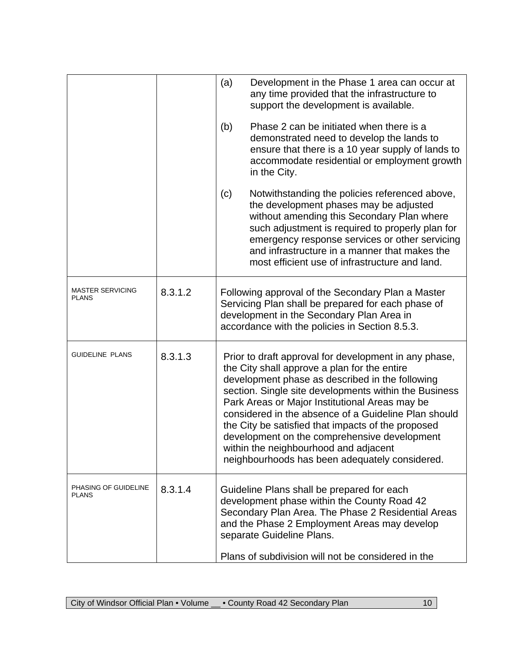|                                         |         | (a)<br>Development in the Phase 1 area can occur at<br>any time provided that the infrastructure to<br>support the development is available.                                                                                                                                                                                                                                                                                                                                                                                 |  |  |
|-----------------------------------------|---------|------------------------------------------------------------------------------------------------------------------------------------------------------------------------------------------------------------------------------------------------------------------------------------------------------------------------------------------------------------------------------------------------------------------------------------------------------------------------------------------------------------------------------|--|--|
|                                         |         | (b)<br>Phase 2 can be initiated when there is a<br>demonstrated need to develop the lands to<br>ensure that there is a 10 year supply of lands to<br>accommodate residential or employment growth<br>in the City.                                                                                                                                                                                                                                                                                                            |  |  |
|                                         |         | Notwithstanding the policies referenced above,<br>(c)<br>the development phases may be adjusted<br>without amending this Secondary Plan where<br>such adjustment is required to properly plan for<br>emergency response services or other servicing<br>and infrastructure in a manner that makes the<br>most efficient use of infrastructure and land.                                                                                                                                                                       |  |  |
| <b>MASTER SERVICING</b><br><b>PLANS</b> | 8.3.1.2 | Following approval of the Secondary Plan a Master<br>Servicing Plan shall be prepared for each phase of<br>development in the Secondary Plan Area in<br>accordance with the policies in Section 8.5.3.                                                                                                                                                                                                                                                                                                                       |  |  |
| <b>GUIDELINE PLANS</b>                  | 8.3.1.3 | Prior to draft approval for development in any phase,<br>the City shall approve a plan for the entire<br>development phase as described in the following<br>section. Single site developments within the Business<br>Park Areas or Major Institutional Areas may be<br>considered in the absence of a Guideline Plan should<br>the City be satisfied that impacts of the proposed<br>development on the comprehensive development<br>within the neighbourhood and adjacent<br>neighbourhoods has been adequately considered. |  |  |
| PHASING OF GUIDELINE<br><b>PLANS</b>    | 8.3.1.4 | Guideline Plans shall be prepared for each<br>development phase within the County Road 42<br>Secondary Plan Area. The Phase 2 Residential Areas<br>and the Phase 2 Employment Areas may develop<br>separate Guideline Plans.<br>Plans of subdivision will not be considered in the                                                                                                                                                                                                                                           |  |  |
|                                         |         |                                                                                                                                                                                                                                                                                                                                                                                                                                                                                                                              |  |  |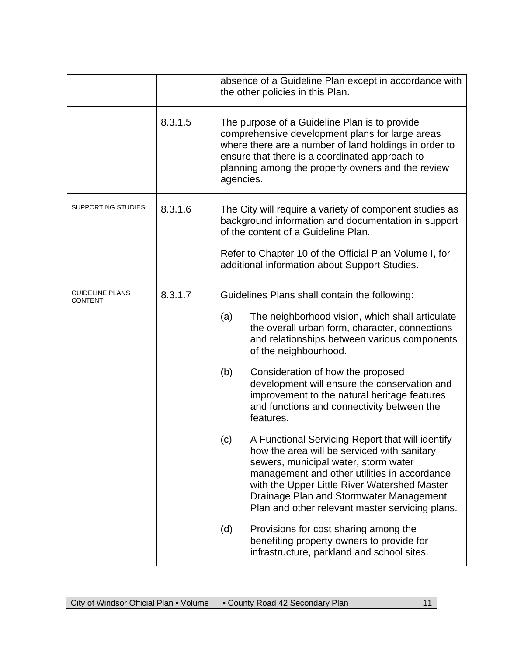|                                   |         | absence of a Guideline Plan except in accordance with<br>the other policies in this Plan.                                                                                                                                                                                                                                                                                                                                                                                                                                                                                                                                                                                                                                                                                                                                                 |
|-----------------------------------|---------|-------------------------------------------------------------------------------------------------------------------------------------------------------------------------------------------------------------------------------------------------------------------------------------------------------------------------------------------------------------------------------------------------------------------------------------------------------------------------------------------------------------------------------------------------------------------------------------------------------------------------------------------------------------------------------------------------------------------------------------------------------------------------------------------------------------------------------------------|
|                                   | 8.3.1.5 | The purpose of a Guideline Plan is to provide<br>comprehensive development plans for large areas<br>where there are a number of land holdings in order to<br>ensure that there is a coordinated approach to<br>planning among the property owners and the review<br>agencies.                                                                                                                                                                                                                                                                                                                                                                                                                                                                                                                                                             |
| SUPPORTING STUDIES                | 8.3.1.6 | The City will require a variety of component studies as<br>background information and documentation in support<br>of the content of a Guideline Plan.<br>Refer to Chapter 10 of the Official Plan Volume I, for<br>additional information about Support Studies.                                                                                                                                                                                                                                                                                                                                                                                                                                                                                                                                                                          |
| <b>GUIDELINE PLANS</b><br>CONTENT | 8.3.1.7 | Guidelines Plans shall contain the following:<br>The neighborhood vision, which shall articulate<br>(a)<br>the overall urban form, character, connections<br>and relationships between various components<br>of the neighbourhood.<br>Consideration of how the proposed<br>(b)<br>development will ensure the conservation and<br>improvement to the natural heritage features<br>and functions and connectivity between the<br>features.<br>A Functional Servicing Report that will identify<br>(c)<br>how the area will be serviced with sanitary<br>sewers, municipal water, storm water<br>management and other utilities in accordance<br>with the Upper Little River Watershed Master<br>Drainage Plan and Stormwater Management<br>Plan and other relevant master servicing plans.<br>Provisions for cost sharing among the<br>(d) |
|                                   |         | benefiting property owners to provide for<br>infrastructure, parkland and school sites.                                                                                                                                                                                                                                                                                                                                                                                                                                                                                                                                                                                                                                                                                                                                                   |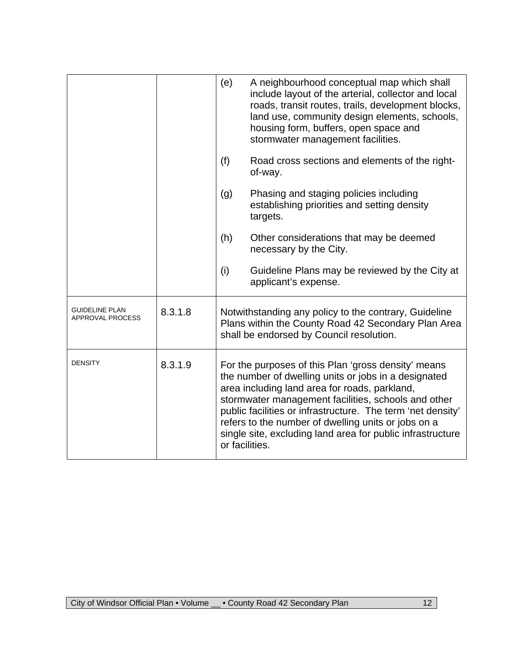|                                           |         | (e)                                                                                                                                                                                                                                                                                                                                                                                                                       | A neighbourhood conceptual map which shall<br>include layout of the arterial, collector and local<br>roads, transit routes, trails, development blocks,<br>land use, community design elements, schools,<br>housing form, buffers, open space and<br>stormwater management facilities. |
|-------------------------------------------|---------|---------------------------------------------------------------------------------------------------------------------------------------------------------------------------------------------------------------------------------------------------------------------------------------------------------------------------------------------------------------------------------------------------------------------------|----------------------------------------------------------------------------------------------------------------------------------------------------------------------------------------------------------------------------------------------------------------------------------------|
|                                           |         | (f)                                                                                                                                                                                                                                                                                                                                                                                                                       | Road cross sections and elements of the right-<br>of-way.                                                                                                                                                                                                                              |
|                                           |         | (g)                                                                                                                                                                                                                                                                                                                                                                                                                       | Phasing and staging policies including<br>establishing priorities and setting density<br>targets.                                                                                                                                                                                      |
|                                           |         | (h)                                                                                                                                                                                                                                                                                                                                                                                                                       | Other considerations that may be deemed<br>necessary by the City.                                                                                                                                                                                                                      |
|                                           |         | (i)                                                                                                                                                                                                                                                                                                                                                                                                                       | Guideline Plans may be reviewed by the City at<br>applicant's expense.                                                                                                                                                                                                                 |
| <b>GUIDELINE PLAN</b><br>APPROVAL PROCESS | 8.3.1.8 |                                                                                                                                                                                                                                                                                                                                                                                                                           | Notwithstanding any policy to the contrary, Guideline<br>Plans within the County Road 42 Secondary Plan Area<br>shall be endorsed by Council resolution.                                                                                                                               |
| <b>DENSITY</b>                            | 8.3.1.9 | For the purposes of this Plan 'gross density' means<br>the number of dwelling units or jobs in a designated<br>area including land area for roads, parkland,<br>stormwater management facilities, schools and other<br>public facilities or infrastructure. The term 'net density'<br>refers to the number of dwelling units or jobs on a<br>single site, excluding land area for public infrastructure<br>or facilities. |                                                                                                                                                                                                                                                                                        |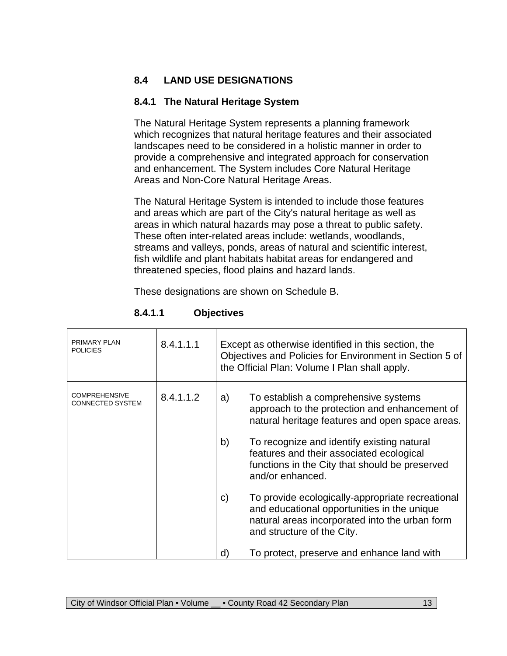## **8.4 LAND USE DESIGNATIONS**

#### **8.4.1 The Natural Heritage System**

The Natural Heritage System represents a planning framework which recognizes that natural heritage features and their associated landscapes need to be considered in a holistic manner in order to provide a comprehensive and integrated approach for conservation and enhancement. The System includes Core Natural Heritage Areas and Non-Core Natural Heritage Areas.

The Natural Heritage System is intended to include those features and areas which are part of the City's natural heritage as well as areas in which natural hazards may pose a threat to public safety. These often inter-related areas include: wetlands, woodlands, streams and valleys, ponds, areas of natural and scientific interest, fish wildlife and plant habitats habitat areas for endangered and threatened species, flood plains and hazard lands.

These designations are shown on Schedule B.

| <b>PRIMARY PLAN</b><br><b>POLICIES</b>          | 8.4.1.1.1 | Except as otherwise identified in this section, the<br>Objectives and Policies for Environment in Section 5 of<br>the Official Plan: Volume I Plan shall apply.                                  |  |  |
|-------------------------------------------------|-----------|--------------------------------------------------------------------------------------------------------------------------------------------------------------------------------------------------|--|--|
| <b>COMPREHENSIVE</b><br><b>CONNECTED SYSTEM</b> | 8.4.1.1.2 | To establish a comprehensive systems<br>a)<br>approach to the protection and enhancement of<br>natural heritage features and open space areas.                                                   |  |  |
|                                                 |           | b)<br>To recognize and identify existing natural<br>features and their associated ecological<br>functions in the City that should be preserved<br>and/or enhanced.                               |  |  |
|                                                 |           | To provide ecologically-appropriate recreational<br>$\mathsf{c})$<br>and educational opportunities in the unique<br>natural areas incorporated into the urban form<br>and structure of the City. |  |  |
|                                                 |           | To protect, preserve and enhance land with<br>d)                                                                                                                                                 |  |  |

#### **8.4.1.1 Objectives**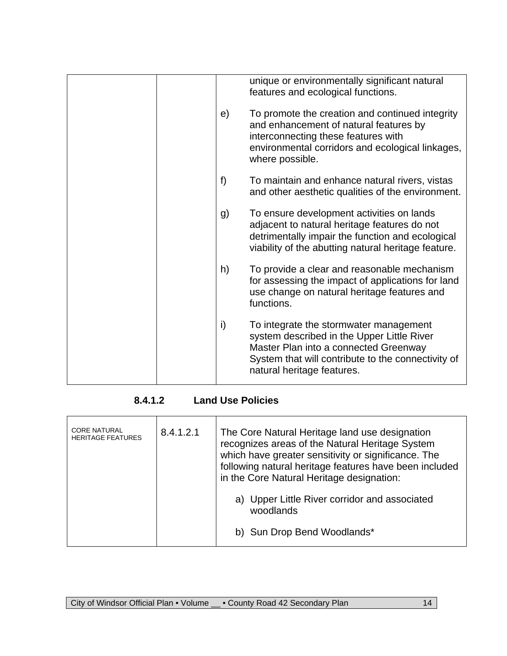|    | unique or environmentally significant natural<br>features and ecological functions.                                                                                                                               |
|----|-------------------------------------------------------------------------------------------------------------------------------------------------------------------------------------------------------------------|
| e) | To promote the creation and continued integrity<br>and enhancement of natural features by<br>interconnecting these features with<br>environmental corridors and ecological linkages,<br>where possible.           |
| f) | To maintain and enhance natural rivers, vistas<br>and other aesthetic qualities of the environment.                                                                                                               |
| g) | To ensure development activities on lands<br>adjacent to natural heritage features do not<br>detrimentally impair the function and ecological<br>viability of the abutting natural heritage feature.              |
| h) | To provide a clear and reasonable mechanism<br>for assessing the impact of applications for land<br>use change on natural heritage features and<br>functions.                                                     |
| i) | To integrate the stormwater management<br>system described in the Upper Little River<br>Master Plan into a connected Greenway<br>System that will contribute to the connectivity of<br>natural heritage features. |
|    |                                                                                                                                                                                                                   |

# **8.4.1.2 Land Use Policies**

| <b>CORE NATURAL</b><br><b>HERITAGE FEATURES</b> | 8.4.1.2.1 | The Core Natural Heritage land use designation<br>recognizes areas of the Natural Heritage System                                                          |  |
|-------------------------------------------------|-----------|------------------------------------------------------------------------------------------------------------------------------------------------------------|--|
|                                                 |           | which have greater sensitivity or significance. The<br>following natural heritage features have been included<br>in the Core Natural Heritage designation: |  |
|                                                 |           | a) Upper Little River corridor and associated<br>woodlands                                                                                                 |  |
|                                                 |           | b) Sun Drop Bend Woodlands*                                                                                                                                |  |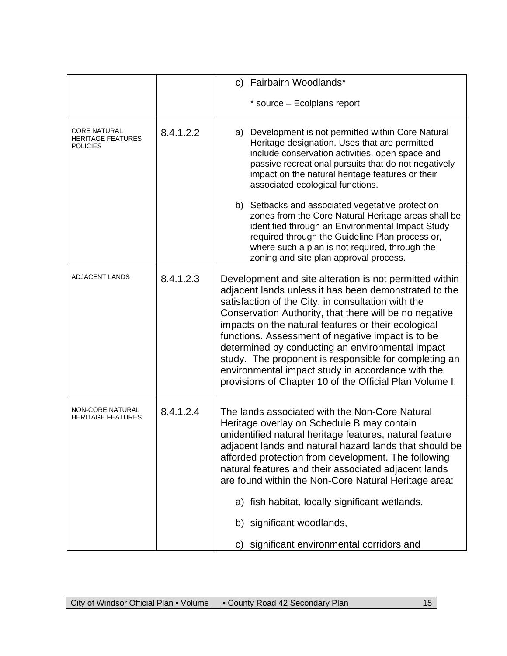|                                                                    |           | c) Fairbairn Woodlands*                                                                                                                                                                                                                                                                                                                                                                                                                                                                                                                                                   |
|--------------------------------------------------------------------|-----------|---------------------------------------------------------------------------------------------------------------------------------------------------------------------------------------------------------------------------------------------------------------------------------------------------------------------------------------------------------------------------------------------------------------------------------------------------------------------------------------------------------------------------------------------------------------------------|
|                                                                    |           | * source – Ecolplans report                                                                                                                                                                                                                                                                                                                                                                                                                                                                                                                                               |
| <b>CORE NATURAL</b><br><b>HERITAGE FEATURES</b><br><b>POLICIES</b> | 8.4.1.2.2 | Development is not permitted within Core Natural<br>a)<br>Heritage designation. Uses that are permitted<br>include conservation activities, open space and<br>passive recreational pursuits that do not negatively<br>impact on the natural heritage features or their<br>associated ecological functions.                                                                                                                                                                                                                                                                |
|                                                                    |           | b) Setbacks and associated vegetative protection<br>zones from the Core Natural Heritage areas shall be<br>identified through an Environmental Impact Study<br>required through the Guideline Plan process or,<br>where such a plan is not required, through the<br>zoning and site plan approval process.                                                                                                                                                                                                                                                                |
| <b>ADJACENT LANDS</b>                                              | 8.4.1.2.3 | Development and site alteration is not permitted within<br>adjacent lands unless it has been demonstrated to the<br>satisfaction of the City, in consultation with the<br>Conservation Authority, that there will be no negative<br>impacts on the natural features or their ecological<br>functions. Assessment of negative impact is to be<br>determined by conducting an environmental impact<br>study. The proponent is responsible for completing an<br>environmental impact study in accordance with the<br>provisions of Chapter 10 of the Official Plan Volume I. |
| <b>NON-CORE NATURAL</b><br><b>HERITAGE FEATURES</b>                | 8.4.1.2.4 | The lands associated with the Non-Core Natural<br>Heritage overlay on Schedule B may contain<br>unidentified natural heritage features, natural feature<br>adjacent lands and natural hazard lands that should be<br>afforded protection from development. The following<br>natural features and their associated adjacent lands<br>are found within the Non-Core Natural Heritage area:<br>a) fish habitat, locally significant wetlands,<br>significant woodlands,<br>b)<br>significant environmental corridors and<br>C)                                               |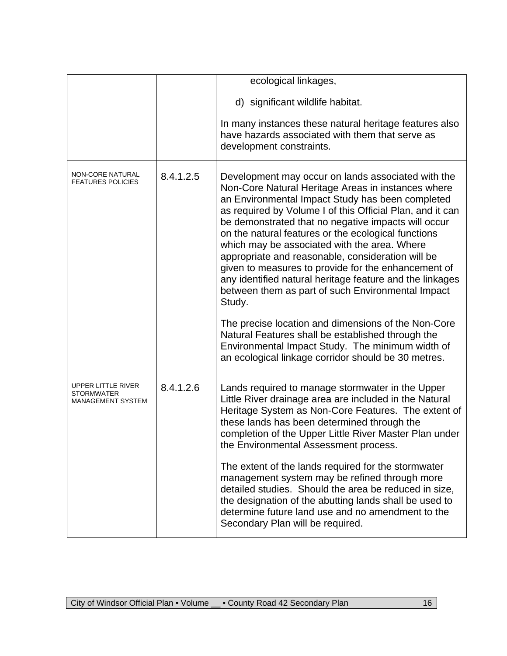|                                                              |           | ecological linkages,<br>d) significant wildlife habitat.<br>In many instances these natural heritage features also<br>have hazards associated with them that serve as<br>development constraints.                                                                                                                                                                                                                                                                                                                                                                                                                                                                                                                                                                                                                                                     |
|--------------------------------------------------------------|-----------|-------------------------------------------------------------------------------------------------------------------------------------------------------------------------------------------------------------------------------------------------------------------------------------------------------------------------------------------------------------------------------------------------------------------------------------------------------------------------------------------------------------------------------------------------------------------------------------------------------------------------------------------------------------------------------------------------------------------------------------------------------------------------------------------------------------------------------------------------------|
| NON-CORE NATURAL<br><b>FEATURES POLICIES</b>                 | 8.4.1.2.5 | Development may occur on lands associated with the<br>Non-Core Natural Heritage Areas in instances where<br>an Environmental Impact Study has been completed<br>as required by Volume I of this Official Plan, and it can<br>be demonstrated that no negative impacts will occur<br>on the natural features or the ecological functions<br>which may be associated with the area. Where<br>appropriate and reasonable, consideration will be<br>given to measures to provide for the enhancement of<br>any identified natural heritage feature and the linkages<br>between them as part of such Environmental Impact<br>Study.<br>The precise location and dimensions of the Non-Core<br>Natural Features shall be established through the<br>Environmental Impact Study. The minimum width of<br>an ecological linkage corridor should be 30 metres. |
| UPPER LITTLE RIVER<br>STORMWATER<br><b>MANAGEMENT SYSTEM</b> | 8.4.1.2.6 | Lands required to manage stormwater in the Upper<br>Little River drainage area are included in the Natural<br>Heritage System as Non-Core Features. The extent of<br>these lands has been determined through the<br>completion of the Upper Little River Master Plan under<br>the Environmental Assessment process.<br>The extent of the lands required for the stormwater<br>management system may be refined through more<br>detailed studies. Should the area be reduced in size,<br>the designation of the abutting lands shall be used to<br>determine future land use and no amendment to the<br>Secondary Plan will be required.                                                                                                                                                                                                               |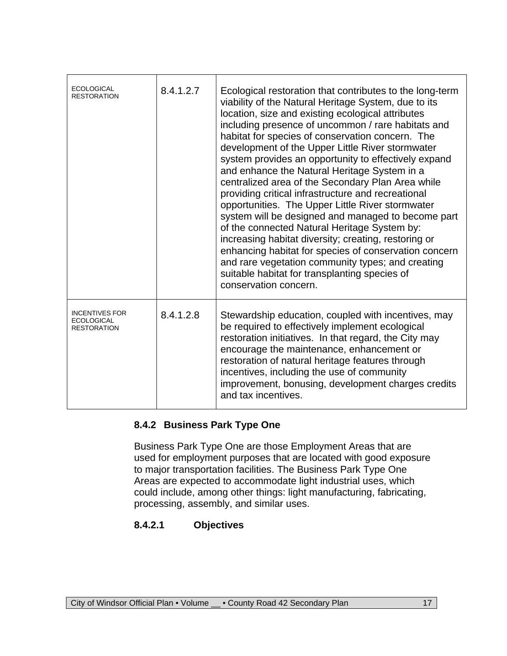| <b>ECOLOGICAL</b><br>RESTORATION                                 | 8.4.1.2.7 | Ecological restoration that contributes to the long-term<br>viability of the Natural Heritage System, due to its<br>location, size and existing ecological attributes<br>including presence of uncommon / rare habitats and<br>habitat for species of conservation concern. The<br>development of the Upper Little River stormwater<br>system provides an opportunity to effectively expand<br>and enhance the Natural Heritage System in a<br>centralized area of the Secondary Plan Area while<br>providing critical infrastructure and recreational<br>opportunities. The Upper Little River stormwater<br>system will be designed and managed to become part<br>of the connected Natural Heritage System by:<br>increasing habitat diversity; creating, restoring or<br>enhancing habitat for species of conservation concern<br>and rare vegetation community types; and creating<br>suitable habitat for transplanting species of<br>conservation concern. |
|------------------------------------------------------------------|-----------|------------------------------------------------------------------------------------------------------------------------------------------------------------------------------------------------------------------------------------------------------------------------------------------------------------------------------------------------------------------------------------------------------------------------------------------------------------------------------------------------------------------------------------------------------------------------------------------------------------------------------------------------------------------------------------------------------------------------------------------------------------------------------------------------------------------------------------------------------------------------------------------------------------------------------------------------------------------|
| <b>INCENTIVES FOR</b><br><b>ECOLOGICAL</b><br><b>RESTORATION</b> | 8.4.1.2.8 | Stewardship education, coupled with incentives, may<br>be required to effectively implement ecological<br>restoration initiatives. In that regard, the City may<br>encourage the maintenance, enhancement or<br>restoration of natural heritage features through<br>incentives, including the use of community<br>improvement, bonusing, development charges credits<br>and tax incentives.                                                                                                                                                                                                                                                                                                                                                                                                                                                                                                                                                                      |

#### **8.4.2 Business Park Type One**

Business Park Type One are those Employment Areas that are used for employment purposes that are located with good exposure to major transportation facilities. The Business Park Type One Areas are expected to accommodate light industrial uses, which could include, among other things: light manufacturing, fabricating, processing, assembly, and similar uses.

#### **8.4.2.1 Objectives**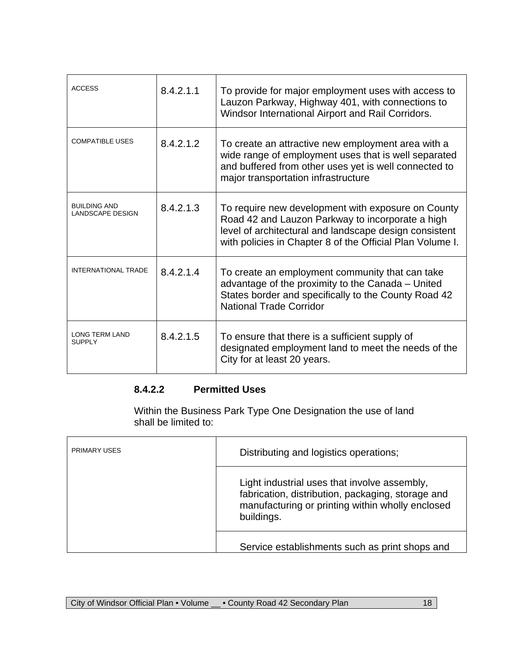| <b>ACCESS</b>                                  | 8.4.2.1.1 | To provide for major employment uses with access to<br>Lauzon Parkway, Highway 401, with connections to<br>Windsor International Airport and Rail Corridors.                                                                  |  |
|------------------------------------------------|-----------|-------------------------------------------------------------------------------------------------------------------------------------------------------------------------------------------------------------------------------|--|
| <b>COMPATIBLE USES</b>                         | 8.4.2.1.2 | To create an attractive new employment area with a<br>wide range of employment uses that is well separated<br>and buffered from other uses yet is well connected to<br>major transportation infrastructure                    |  |
| <b>BUILDING AND</b><br><b>LANDSCAPE DESIGN</b> | 8.4.2.1.3 | To require new development with exposure on County<br>Road 42 and Lauzon Parkway to incorporate a high<br>level of architectural and landscape design consistent<br>with policies in Chapter 8 of the Official Plan Volume I. |  |
| <b>INTERNATIONAL TRADE</b>                     | 8.4.2.1.4 | To create an employment community that can take<br>advantage of the proximity to the Canada - United<br>States border and specifically to the County Road 42<br><b>National Trade Corridor</b>                                |  |
| <b>LONG TERM LAND</b><br><b>SUPPLY</b>         | 8.4.2.1.5 | To ensure that there is a sufficient supply of<br>designated employment land to meet the needs of the<br>City for at least 20 years.                                                                                          |  |

# **8.4.2.2 Permitted Uses**

Within the Business Park Type One Designation the use of land shall be limited to:

| <b>PRIMARY USES</b> | Distributing and logistics operations;                                                                                                                              |
|---------------------|---------------------------------------------------------------------------------------------------------------------------------------------------------------------|
|                     | Light industrial uses that involve assembly,<br>fabrication, distribution, packaging, storage and<br>manufacturing or printing within wholly enclosed<br>buildings. |
|                     | Service establishments such as print shops and                                                                                                                      |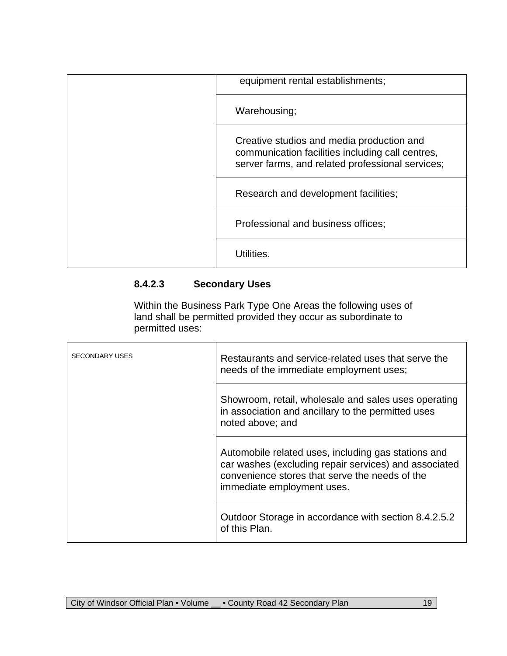| equipment rental establishments;                                                                                                                  |
|---------------------------------------------------------------------------------------------------------------------------------------------------|
| Warehousing;                                                                                                                                      |
| Creative studios and media production and<br>communication facilities including call centres,<br>server farms, and related professional services; |
| Research and development facilities;                                                                                                              |
| Professional and business offices;                                                                                                                |
| Utilities.                                                                                                                                        |

# **8.4.2.3 Secondary Uses**

Within the Business Park Type One Areas the following uses of land shall be permitted provided they occur as subordinate to permitted uses:

| <b>SECONDARY USES</b> | Restaurants and service-related uses that serve the<br>needs of the immediate employment uses;                                                                                               |
|-----------------------|----------------------------------------------------------------------------------------------------------------------------------------------------------------------------------------------|
|                       | Showroom, retail, wholesale and sales uses operating<br>in association and ancillary to the permitted uses<br>noted above; and                                                               |
|                       | Automobile related uses, including gas stations and<br>car washes (excluding repair services) and associated<br>convenience stores that serve the needs of the<br>immediate employment uses. |
|                       | Outdoor Storage in accordance with section 8.4.2.5.2<br>of this Plan.                                                                                                                        |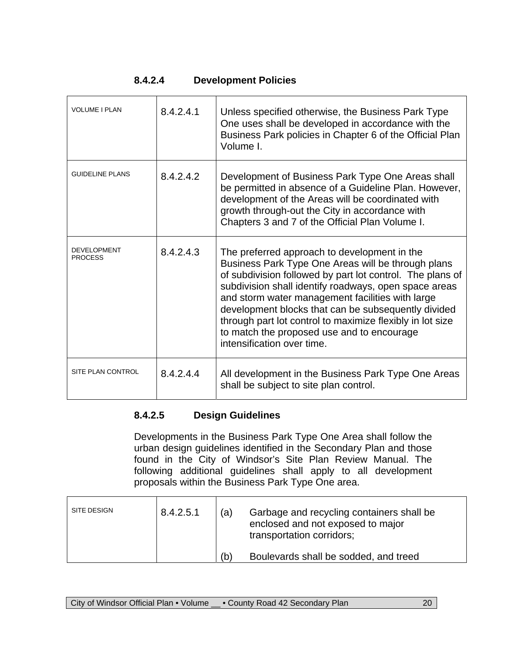| 8.4.2.4 | <b>Development Policies</b> |
|---------|-----------------------------|
|---------|-----------------------------|

| <b>VOLUME I PLAN</b>                 | 8.4.2.4.1 | Unless specified otherwise, the Business Park Type<br>One uses shall be developed in accordance with the<br>Business Park policies in Chapter 6 of the Official Plan<br>Volume I.                                                                                                                                                                                                                                                                                            |
|--------------------------------------|-----------|------------------------------------------------------------------------------------------------------------------------------------------------------------------------------------------------------------------------------------------------------------------------------------------------------------------------------------------------------------------------------------------------------------------------------------------------------------------------------|
| <b>GUIDELINE PLANS</b>               | 8.4.2.4.2 | Development of Business Park Type One Areas shall<br>be permitted in absence of a Guideline Plan. However,<br>development of the Areas will be coordinated with<br>growth through-out the City in accordance with<br>Chapters 3 and 7 of the Official Plan Volume I.                                                                                                                                                                                                         |
| <b>DEVELOPMENT</b><br><b>PROCESS</b> | 8.4.2.4.3 | The preferred approach to development in the<br>Business Park Type One Areas will be through plans<br>of subdivision followed by part lot control. The plans of<br>subdivision shall identify roadways, open space areas<br>and storm water management facilities with large<br>development blocks that can be subsequently divided<br>through part lot control to maximize flexibly in lot size<br>to match the proposed use and to encourage<br>intensification over time. |
| SITE PLAN CONTROL                    | 8.4.2.4.4 | All development in the Business Park Type One Areas<br>shall be subject to site plan control.                                                                                                                                                                                                                                                                                                                                                                                |

# **8.4.2.5 Design Guidelines**

Developments in the Business Park Type One Area shall follow the urban design guidelines identified in the Secondary Plan and those found in the City of Windsor's Site Plan Review Manual. The following additional guidelines shall apply to all development proposals within the Business Park Type One area.

| SITE DESIGN | 8.4.2.5.1 | (a) | Garbage and recycling containers shall be<br>enclosed and not exposed to major<br>transportation corridors; |
|-------------|-----------|-----|-------------------------------------------------------------------------------------------------------------|
|             |           | (b) | Boulevards shall be sodded, and treed                                                                       |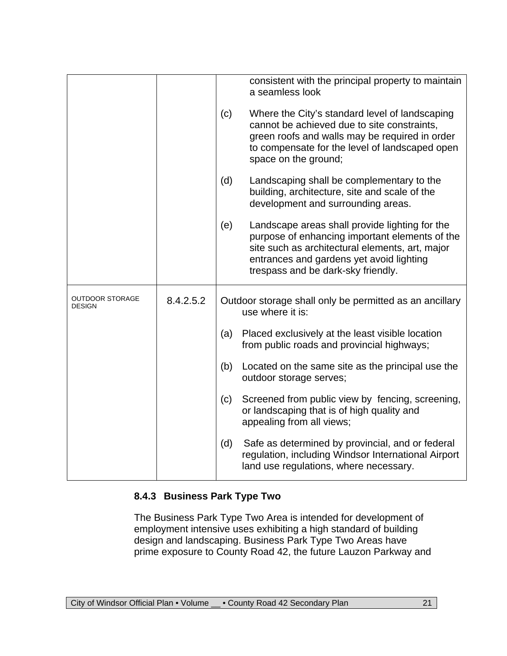|                                  |           |     | consistent with the principal property to maintain<br>a seamless look                                                                                                                                                                 |
|----------------------------------|-----------|-----|---------------------------------------------------------------------------------------------------------------------------------------------------------------------------------------------------------------------------------------|
|                                  |           | (c) | Where the City's standard level of landscaping<br>cannot be achieved due to site constraints,<br>green roofs and walls may be required in order<br>to compensate for the level of landscaped open<br>space on the ground;             |
|                                  |           | (d) | Landscaping shall be complementary to the<br>building, architecture, site and scale of the<br>development and surrounding areas.                                                                                                      |
|                                  |           | (e) | Landscape areas shall provide lighting for the<br>purpose of enhancing important elements of the<br>site such as architectural elements, art, major<br>entrances and gardens yet avoid lighting<br>trespass and be dark-sky friendly. |
| <b>OUTDOOR STORAGE</b><br>DESIGN | 8.4.2.5.2 |     | Outdoor storage shall only be permitted as an ancillary<br>use where it is:                                                                                                                                                           |
|                                  |           | (a) | Placed exclusively at the least visible location<br>from public roads and provincial highways;                                                                                                                                        |
|                                  |           | (b) | Located on the same site as the principal use the<br>outdoor storage serves;                                                                                                                                                          |
|                                  |           | (c) | Screened from public view by fencing, screening,<br>or landscaping that is of high quality and<br>appealing from all views;                                                                                                           |
|                                  |           | (d) | Safe as determined by provincial, and or federal<br>regulation, including Windsor International Airport                                                                                                                               |

#### **8.4.3 Business Park Type Two**

The Business Park Type Two Area is intended for development of employment intensive uses exhibiting a high standard of building design and landscaping. Business Park Type Two Areas have prime exposure to County Road 42, the future Lauzon Parkway and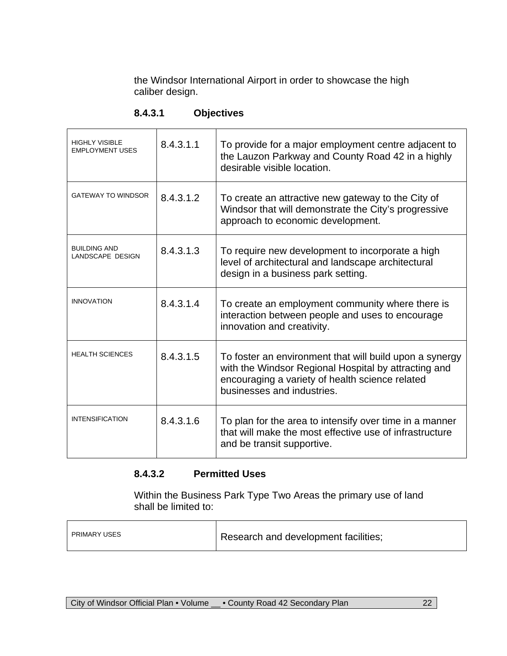the Windsor International Airport in order to showcase the high caliber design.

| <b>HIGHLY VISIBLE</b><br><b>EMPLOYMENT USES</b> | 8.4.3.1.1 | To provide for a major employment centre adjacent to<br>the Lauzon Parkway and County Road 42 in a highly<br>desirable visible location.                                                         |  |
|-------------------------------------------------|-----------|--------------------------------------------------------------------------------------------------------------------------------------------------------------------------------------------------|--|
| <b>GATEWAY TO WINDSOR</b>                       | 8.4.3.1.2 | To create an attractive new gateway to the City of<br>Windsor that will demonstrate the City's progressive<br>approach to economic development.                                                  |  |
| <b>BUILDING AND</b><br>LANDSCAPE DESIGN         | 8.4.3.1.3 | To require new development to incorporate a high<br>level of architectural and landscape architectural<br>design in a business park setting.                                                     |  |
| <b>INNOVATION</b>                               | 8.4.3.1.4 | To create an employment community where there is<br>interaction between people and uses to encourage<br>innovation and creativity.                                                               |  |
| <b>HEALTH SCIENCES</b>                          | 8.4.3.1.5 | To foster an environment that will build upon a synergy<br>with the Windsor Regional Hospital by attracting and<br>encouraging a variety of health science related<br>businesses and industries. |  |
| <b>INTENSIFICATION</b>                          | 8.4.3.1.6 | To plan for the area to intensify over time in a manner<br>that will make the most effective use of infrastructure<br>and be transit supportive.                                                 |  |

#### **8.4.3.1 Objectives**

#### **8.4.3.2 Permitted Uses**

Within the Business Park Type Two Areas the primary use of land shall be limited to:

| PRIMARY USES | Research and development facilities; |
|--------------|--------------------------------------|
|--------------|--------------------------------------|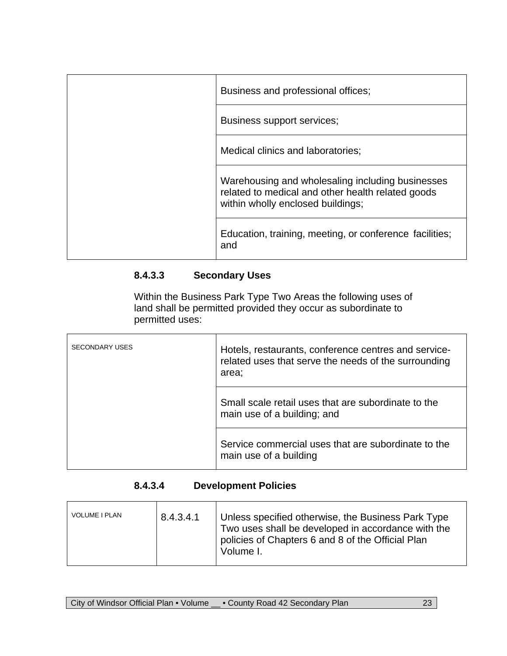| Business and professional offices;                                                                                                         |
|--------------------------------------------------------------------------------------------------------------------------------------------|
| Business support services;                                                                                                                 |
| Medical clinics and laboratories;                                                                                                          |
| Warehousing and wholesaling including businesses<br>related to medical and other health related goods<br>within wholly enclosed buildings; |
| Education, training, meeting, or conference facilities;<br>and                                                                             |

## **8.4.3.3 Secondary Uses**

Within the Business Park Type Two Areas the following uses of land shall be permitted provided they occur as subordinate to permitted uses:

| <b>SECONDARY USES</b> | Hotels, restaurants, conference centres and service-<br>related uses that serve the needs of the surrounding<br>area; |  |
|-----------------------|-----------------------------------------------------------------------------------------------------------------------|--|
|                       | Small scale retail uses that are subordinate to the<br>main use of a building; and                                    |  |
|                       | Service commercial uses that are subordinate to the<br>main use of a building                                         |  |

## **8.4.3.4 Development Policies**

| <b>VOLUME I PLAN</b> | 8.4.3.4.1 | Unless specified otherwise, the Business Park Type<br>Two uses shall be developed in accordance with the<br>policies of Chapters 6 and 8 of the Official Plan<br>Volume I. |
|----------------------|-----------|----------------------------------------------------------------------------------------------------------------------------------------------------------------------------|
|----------------------|-----------|----------------------------------------------------------------------------------------------------------------------------------------------------------------------------|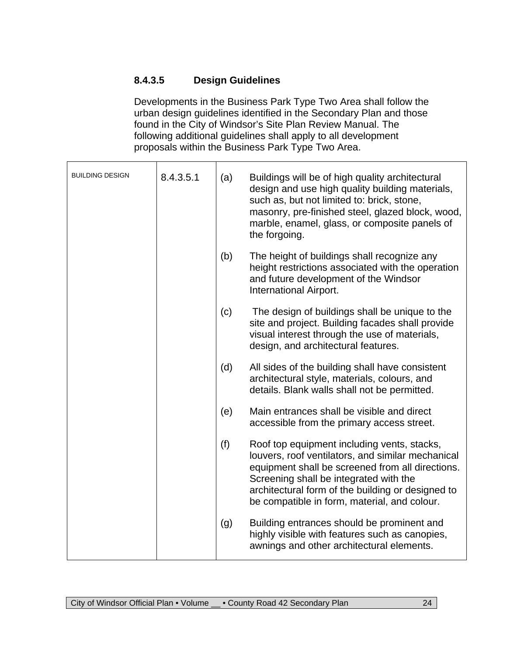## **8.4.3.5 Design Guidelines**

Developments in the Business Park Type Two Area shall follow the urban design guidelines identified in the Secondary Plan and those found in the City of Windsor's Site Plan Review Manual. The following additional guidelines shall apply to all development proposals within the Business Park Type Two Area.

| <b>BUILDING DESIGN</b> | 8.4.3.5.1 | (a) | Buildings will be of high quality architectural<br>design and use high quality building materials,<br>such as, but not limited to: brick, stone,<br>masonry, pre-finished steel, glazed block, wood,<br>marble, enamel, glass, or composite panels of<br>the forgoing.                              |
|------------------------|-----------|-----|-----------------------------------------------------------------------------------------------------------------------------------------------------------------------------------------------------------------------------------------------------------------------------------------------------|
|                        |           | (b) | The height of buildings shall recognize any<br>height restrictions associated with the operation<br>and future development of the Windsor<br>International Airport.                                                                                                                                 |
|                        |           | (c) | The design of buildings shall be unique to the<br>site and project. Building facades shall provide<br>visual interest through the use of materials,<br>design, and architectural features.                                                                                                          |
|                        |           | (d) | All sides of the building shall have consistent<br>architectural style, materials, colours, and<br>details. Blank walls shall not be permitted.                                                                                                                                                     |
|                        |           | (e) | Main entrances shall be visible and direct<br>accessible from the primary access street.                                                                                                                                                                                                            |
|                        |           | (f) | Roof top equipment including vents, stacks,<br>louvers, roof ventilators, and similar mechanical<br>equipment shall be screened from all directions.<br>Screening shall be integrated with the<br>architectural form of the building or designed to<br>be compatible in form, material, and colour. |
|                        |           | (g) | Building entrances should be prominent and<br>highly visible with features such as canopies,<br>awnings and other architectural elements.                                                                                                                                                           |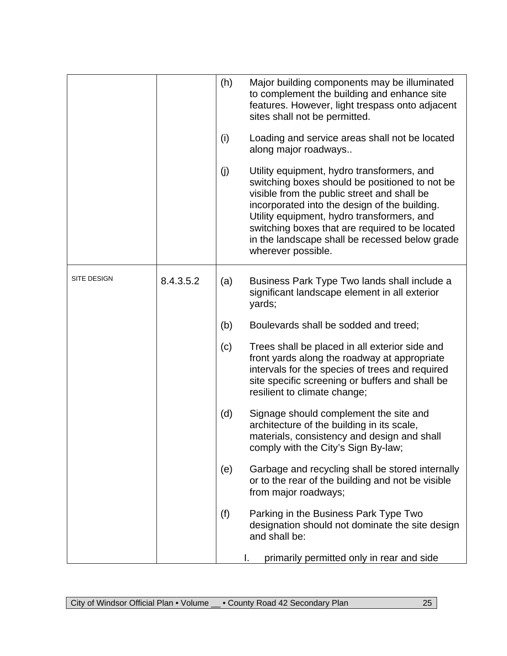|             |           | (h) | Major building components may be illuminated<br>to complement the building and enhance site<br>features. However, light trespass onto adjacent<br>sites shall not be permitted.                                                                                                                                                                                       |
|-------------|-----------|-----|-----------------------------------------------------------------------------------------------------------------------------------------------------------------------------------------------------------------------------------------------------------------------------------------------------------------------------------------------------------------------|
|             |           | (i) | Loading and service areas shall not be located<br>along major roadways                                                                                                                                                                                                                                                                                                |
|             |           | (j) | Utility equipment, hydro transformers, and<br>switching boxes should be positioned to not be<br>visible from the public street and shall be<br>incorporated into the design of the building.<br>Utility equipment, hydro transformers, and<br>switching boxes that are required to be located<br>in the landscape shall be recessed below grade<br>wherever possible. |
| SITE DESIGN | 8.4.3.5.2 | (a) | Business Park Type Two lands shall include a<br>significant landscape element in all exterior<br>yards;                                                                                                                                                                                                                                                               |
|             |           | (b) | Boulevards shall be sodded and treed;                                                                                                                                                                                                                                                                                                                                 |
|             |           | (c) | Trees shall be placed in all exterior side and<br>front yards along the roadway at appropriate<br>intervals for the species of trees and required<br>site specific screening or buffers and shall be<br>resilient to climate change;                                                                                                                                  |
|             |           | (d) | Signage should complement the site and<br>architecture of the building in its scale,<br>materials, consistency and design and shall<br>comply with the City's Sign By-law;                                                                                                                                                                                            |
|             |           | (e) | Garbage and recycling shall be stored internally<br>or to the rear of the building and not be visible<br>from major roadways;                                                                                                                                                                                                                                         |
|             |           | (f) | Parking in the Business Park Type Two<br>designation should not dominate the site design<br>and shall be:                                                                                                                                                                                                                                                             |
|             |           |     | primarily permitted only in rear and side                                                                                                                                                                                                                                                                                                                             |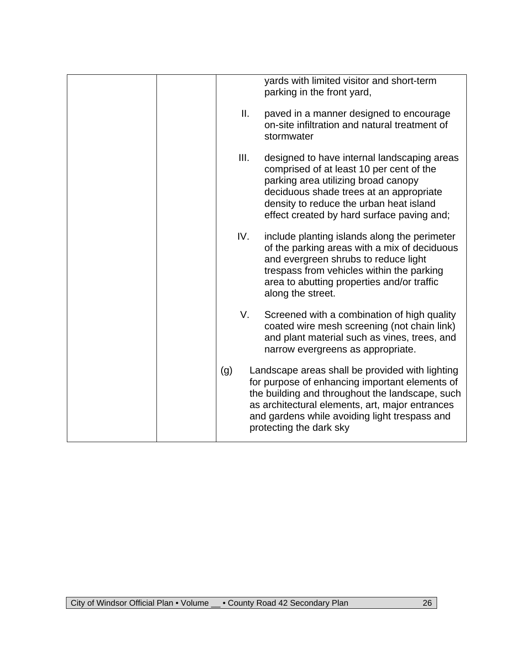|  |      | yards with limited visitor and short-term<br>parking in the front yard,                                                                                                                                                                                                             |
|--|------|-------------------------------------------------------------------------------------------------------------------------------------------------------------------------------------------------------------------------------------------------------------------------------------|
|  | Ⅱ.   | paved in a manner designed to encourage<br>on-site infiltration and natural treatment of<br>stormwater                                                                                                                                                                              |
|  | III. | designed to have internal landscaping areas<br>comprised of at least 10 per cent of the<br>parking area utilizing broad canopy<br>deciduous shade trees at an appropriate<br>density to reduce the urban heat island<br>effect created by hard surface paving and;                  |
|  | IV.  | include planting islands along the perimeter<br>of the parking areas with a mix of deciduous<br>and evergreen shrubs to reduce light<br>trespass from vehicles within the parking<br>area to abutting properties and/or traffic<br>along the street.                                |
|  | V.   | Screened with a combination of high quality<br>coated wire mesh screening (not chain link)<br>and plant material such as vines, trees, and<br>narrow evergreens as appropriate.                                                                                                     |
|  | (g)  | Landscape areas shall be provided with lighting<br>for purpose of enhancing important elements of<br>the building and throughout the landscape, such<br>as architectural elements, art, major entrances<br>and gardens while avoiding light trespass and<br>protecting the dark sky |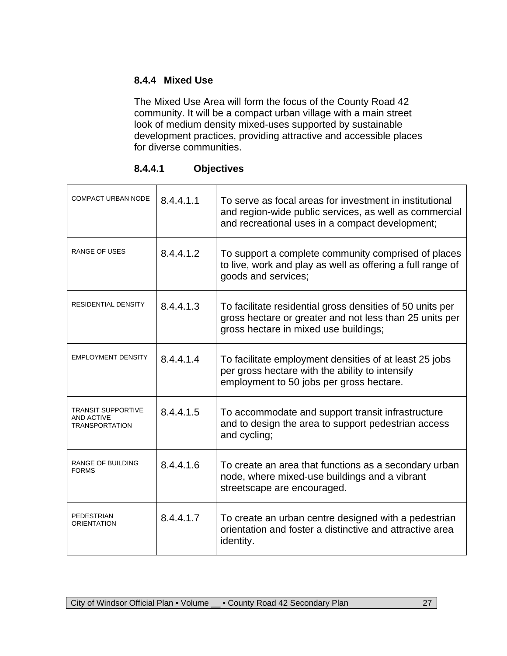### **8.4.4 Mixed Use**

The Mixed Use Area will form the focus of the County Road 42 community. It will be a compact urban village with a main street look of medium density mixed-uses supported by sustainable development practices, providing attractive and accessible places for diverse communities.

| 8.4.4.1 | <b>Objectives</b> |
|---------|-------------------|
|         |                   |

| <b>COMPACT URBAN NODE</b>                                        | 8.4.4.1.1 | To serve as focal areas for investment in institutional<br>and region-wide public services, as well as commercial<br>and recreational uses in a compact development; |
|------------------------------------------------------------------|-----------|----------------------------------------------------------------------------------------------------------------------------------------------------------------------|
| RANGE OF USES                                                    | 8.4.4.1.2 | To support a complete community comprised of places<br>to live, work and play as well as offering a full range of<br>goods and services;                             |
| <b>RESIDENTIAL DENSITY</b>                                       | 8.4.4.1.3 | To facilitate residential gross densities of 50 units per<br>gross hectare or greater and not less than 25 units per<br>gross hectare in mixed use buildings;        |
| <b>EMPLOYMENT DENSITY</b>                                        | 8.4.4.1.4 | To facilitate employment densities of at least 25 jobs<br>per gross hectare with the ability to intensify<br>employment to 50 jobs per gross hectare.                |
| TRANSIT SUPPORTIVE<br><b>AND ACTIVE</b><br><b>TRANSPORTATION</b> | 8.4.4.1.5 | To accommodate and support transit infrastructure<br>and to design the area to support pedestrian access<br>and cycling;                                             |
| <b>RANGE OF BUILDING</b><br><b>FORMS</b>                         | 8.4.4.1.6 | To create an area that functions as a secondary urban<br>node, where mixed-use buildings and a vibrant<br>streetscape are encouraged.                                |
| <b>PEDESTRIAN</b><br><b>ORIENTATION</b>                          | 8.4.4.1.7 | To create an urban centre designed with a pedestrian<br>orientation and foster a distinctive and attractive area<br>identity.                                        |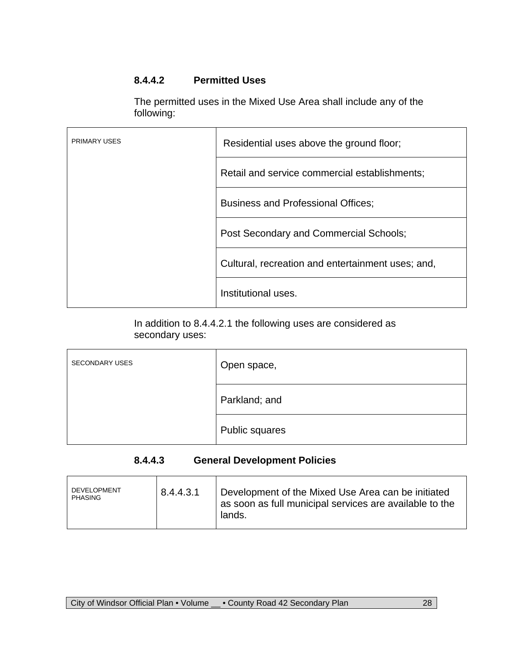## **8.4.4.2 Permitted Uses**

The permitted uses in the Mixed Use Area shall include any of the following:

| <b>PRIMARY USES</b> | Residential uses above the ground floor;          |
|---------------------|---------------------------------------------------|
|                     | Retail and service commercial establishments;     |
|                     | <b>Business and Professional Offices;</b>         |
|                     | Post Secondary and Commercial Schools;            |
|                     | Cultural, recreation and entertainment uses; and, |
|                     | Institutional uses.                               |

In addition to 8.4.4.2.1 the following uses are considered as secondary uses:

| <b>SECONDARY USES</b> | Open space,    |  |
|-----------------------|----------------|--|
|                       | Parkland; and  |  |
|                       | Public squares |  |

#### **8.4.4.3 General Development Policies**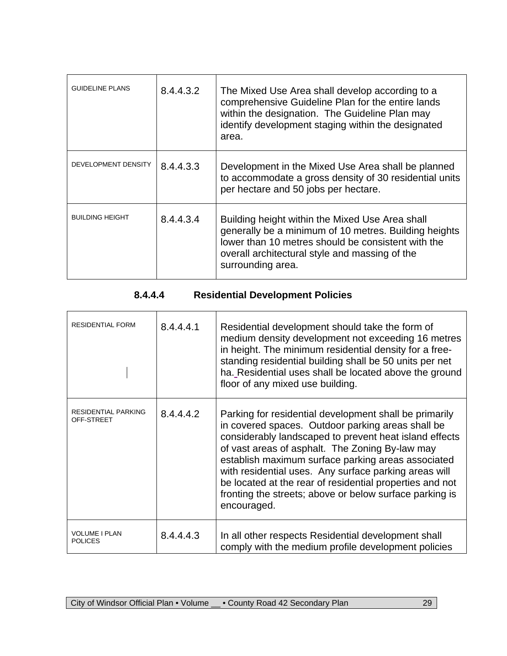| <b>GUIDELINE PLANS</b> | 8.4.4.3.2 | The Mixed Use Area shall develop according to a<br>comprehensive Guideline Plan for the entire lands<br>within the designation. The Guideline Plan may<br>identify development staging within the designated<br>area.                 |
|------------------------|-----------|---------------------------------------------------------------------------------------------------------------------------------------------------------------------------------------------------------------------------------------|
| DEVELOPMENT DENSITY    | 8.4.4.3.3 | Development in the Mixed Use Area shall be planned<br>to accommodate a gross density of 30 residential units<br>per hectare and 50 jobs per hectare.                                                                                  |
| <b>BUILDING HEIGHT</b> | 8.4.4.3.4 | Building height within the Mixed Use Area shall<br>generally be a minimum of 10 metres. Building heights<br>lower than 10 metres should be consistent with the<br>overall architectural style and massing of the<br>surrounding area. |

# **8.4.4.4 Residential Development Policies**

| <b>RESIDENTIAL FORM</b>                  | 8.4.4.4.1 | Residential development should take the form of<br>medium density development not exceeding 16 metres<br>in height. The minimum residential density for a free-<br>standing residential building shall be 50 units per net<br>ha. Residential uses shall be located above the ground<br>floor of any mixed use building.                                                                                                                                                      |
|------------------------------------------|-----------|-------------------------------------------------------------------------------------------------------------------------------------------------------------------------------------------------------------------------------------------------------------------------------------------------------------------------------------------------------------------------------------------------------------------------------------------------------------------------------|
| <b>RESIDENTIAL PARKING</b><br>OFF-STREET | 8.4.4.4.2 | Parking for residential development shall be primarily<br>in covered spaces. Outdoor parking areas shall be<br>considerably landscaped to prevent heat island effects<br>of vast areas of asphalt. The Zoning By-law may<br>establish maximum surface parking areas associated<br>with residential uses. Any surface parking areas will<br>be located at the rear of residential properties and not<br>fronting the streets; above or below surface parking is<br>encouraged. |
| <b>VOLUME I PLAN</b><br><b>POLICES</b>   | 8.4.4.4.3 | In all other respects Residential development shall<br>comply with the medium profile development policies                                                                                                                                                                                                                                                                                                                                                                    |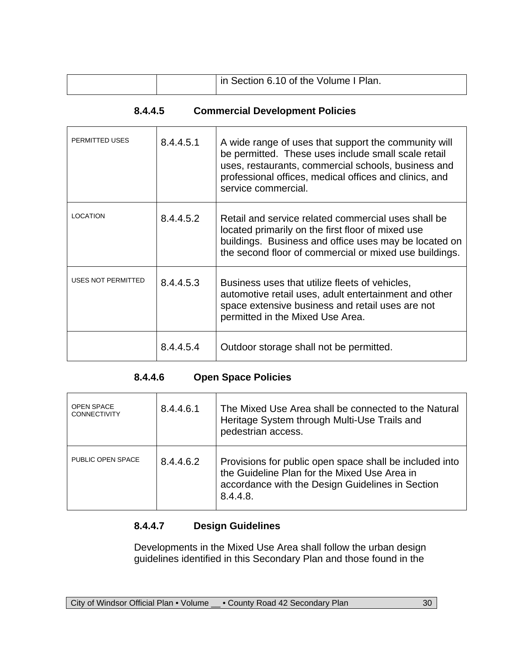|  | In Section 6.10 of the Volume I Plan. |
|--|---------------------------------------|

#### **8.4.4.5 Commercial Development Policies**

| PERMITTED USES     | 8.4.4.5.1 | A wide range of uses that support the community will<br>be permitted. These uses include small scale retail<br>uses, restaurants, commercial schools, business and<br>professional offices, medical offices and clinics, and<br>service commercial. |
|--------------------|-----------|-----------------------------------------------------------------------------------------------------------------------------------------------------------------------------------------------------------------------------------------------------|
| <b>LOCATION</b>    | 8.4.4.5.2 | Retail and service related commercial uses shall be<br>located primarily on the first floor of mixed use<br>buildings. Business and office uses may be located on<br>the second floor of commercial or mixed use buildings.                         |
| USES NOT PERMITTED | 8.4.4.5.3 | Business uses that utilize fleets of vehicles,<br>automotive retail uses, adult entertainment and other<br>space extensive business and retail uses are not<br>permitted in the Mixed Use Area.                                                     |
|                    | 8.4.4.5.4 | Outdoor storage shall not be permitted.                                                                                                                                                                                                             |

## **8.4.4.6 Open Space Policies**

| <b>OPEN SPACE</b><br><b>CONNECTIVITY</b> | 8.4.4.6.1 | The Mixed Use Area shall be connected to the Natural<br>Heritage System through Multi-Use Trails and<br>pedestrian access.                                              |
|------------------------------------------|-----------|-------------------------------------------------------------------------------------------------------------------------------------------------------------------------|
| PUBLIC OPEN SPACE                        | 8.4.4.6.2 | Provisions for public open space shall be included into<br>the Guideline Plan for the Mixed Use Area in<br>accordance with the Design Guidelines in Section<br>8.4.4.8. |

### **8.4.4.7 Design Guidelines**

Developments in the Mixed Use Area shall follow the urban design guidelines identified in this Secondary Plan and those found in the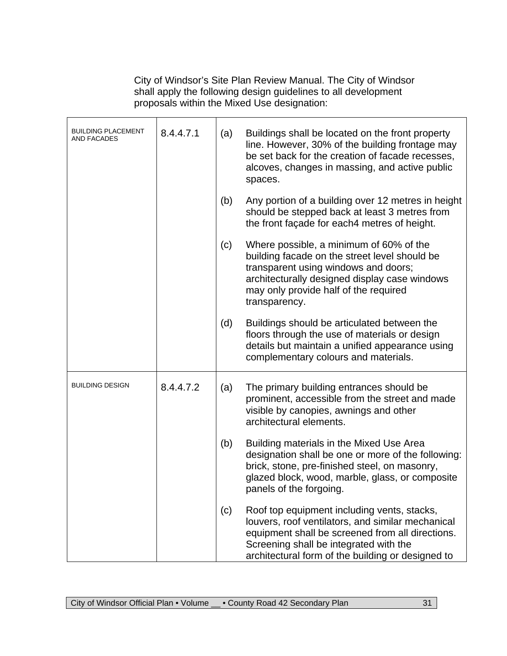City of Windsor's Site Plan Review Manual. The City of Windsor shall apply the following design guidelines to all development proposals within the Mixed Use designation:

| <b>BUILDING PLACEMENT</b><br>AND FACADES | 8.4.4.7.1 | (a) | Buildings shall be located on the front property<br>line. However, 30% of the building frontage may<br>be set back for the creation of facade recesses,<br>alcoves, changes in massing, and active public<br>spaces.                                |
|------------------------------------------|-----------|-----|-----------------------------------------------------------------------------------------------------------------------------------------------------------------------------------------------------------------------------------------------------|
|                                          |           | (b) | Any portion of a building over 12 metres in height<br>should be stepped back at least 3 metres from<br>the front façade for each4 metres of height.                                                                                                 |
|                                          |           | (c) | Where possible, a minimum of 60% of the<br>building facade on the street level should be<br>transparent using windows and doors;<br>architecturally designed display case windows<br>may only provide half of the required<br>transparency.         |
|                                          |           | (d) | Buildings should be articulated between the<br>floors through the use of materials or design<br>details but maintain a unified appearance using<br>complementary colours and materials.                                                             |
| <b>BUILDING DESIGN</b>                   | 8.4.4.7.2 | (a) | The primary building entrances should be<br>prominent, accessible from the street and made<br>visible by canopies, awnings and other<br>architectural elements.                                                                                     |
|                                          |           | (b) | Building materials in the Mixed Use Area<br>designation shall be one or more of the following:<br>brick, stone, pre-finished steel, on masonry,<br>glazed block, wood, marble, glass, or composite<br>panels of the forgoing.                       |
|                                          |           | (c) | Roof top equipment including vents, stacks,<br>louvers, roof ventilators, and similar mechanical<br>equipment shall be screened from all directions.<br>Screening shall be integrated with the<br>architectural form of the building or designed to |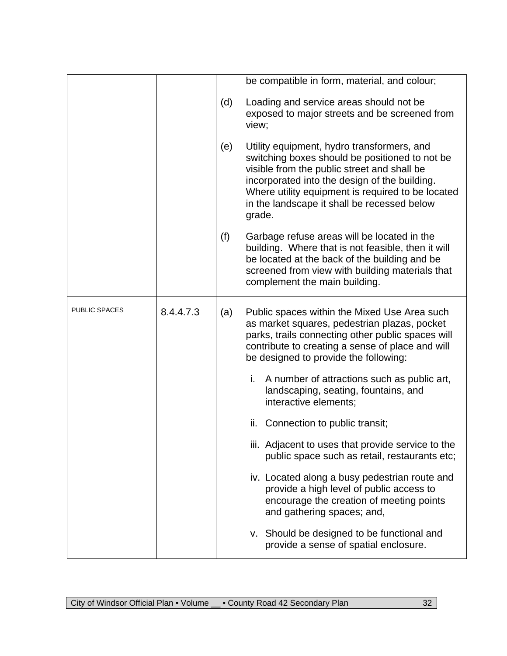|               |           |     | be compatible in form, material, and colour;                                                                                                                                                                                                                                                               |
|---------------|-----------|-----|------------------------------------------------------------------------------------------------------------------------------------------------------------------------------------------------------------------------------------------------------------------------------------------------------------|
|               |           | (d) | Loading and service areas should not be<br>exposed to major streets and be screened from<br>view;                                                                                                                                                                                                          |
|               |           | (e) | Utility equipment, hydro transformers, and<br>switching boxes should be positioned to not be<br>visible from the public street and shall be<br>incorporated into the design of the building.<br>Where utility equipment is required to be located<br>in the landscape it shall be recessed below<br>grade. |
|               |           | (f) | Garbage refuse areas will be located in the<br>building. Where that is not feasible, then it will<br>be located at the back of the building and be<br>screened from view with building materials that<br>complement the main building.                                                                     |
| PUBLIC SPACES | 8.4.4.7.3 | (a) | Public spaces within the Mixed Use Area such<br>as market squares, pedestrian plazas, pocket<br>parks, trails connecting other public spaces will<br>contribute to creating a sense of place and will<br>be designed to provide the following:                                                             |
|               |           |     | i. A number of attractions such as public art,<br>landscaping, seating, fountains, and<br>interactive elements;                                                                                                                                                                                            |
|               |           |     | Connection to public transit;<br>ii.                                                                                                                                                                                                                                                                       |
|               |           |     | iii. Adjacent to uses that provide service to the<br>public space such as retail, restaurants etc;                                                                                                                                                                                                         |
|               |           |     | iv. Located along a busy pedestrian route and<br>provide a high level of public access to<br>encourage the creation of meeting points<br>and gathering spaces; and,                                                                                                                                        |
|               |           |     | v. Should be designed to be functional and<br>provide a sense of spatial enclosure.                                                                                                                                                                                                                        |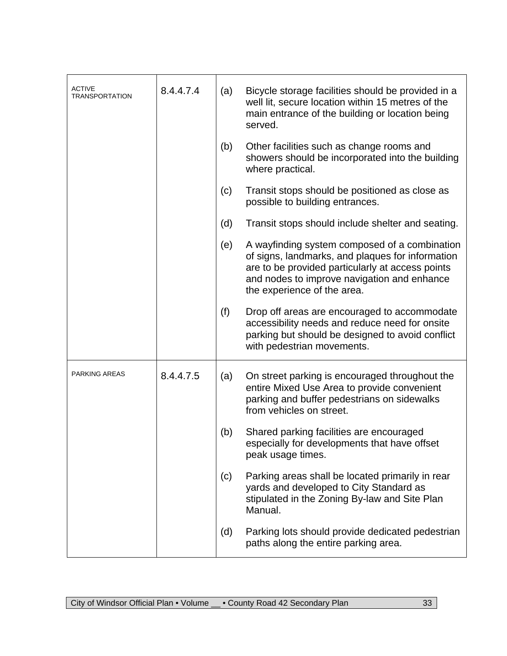| <b>ACTIVE</b><br><b>TRANSPORTATION</b> | 8.4.4.7.4 | (a) | Bicycle storage facilities should be provided in a<br>well lit, secure location within 15 metres of the<br>main entrance of the building or location being<br>served.                                                               |
|----------------------------------------|-----------|-----|-------------------------------------------------------------------------------------------------------------------------------------------------------------------------------------------------------------------------------------|
|                                        |           | (b) | Other facilities such as change rooms and<br>showers should be incorporated into the building<br>where practical.                                                                                                                   |
|                                        |           | (c) | Transit stops should be positioned as close as<br>possible to building entrances.                                                                                                                                                   |
|                                        |           | (d) | Transit stops should include shelter and seating.                                                                                                                                                                                   |
|                                        |           | (e) | A wayfinding system composed of a combination<br>of signs, landmarks, and plaques for information<br>are to be provided particularly at access points<br>and nodes to improve navigation and enhance<br>the experience of the area. |
|                                        |           | (f) | Drop off areas are encouraged to accommodate<br>accessibility needs and reduce need for onsite<br>parking but should be designed to avoid conflict<br>with pedestrian movements.                                                    |
| <b>PARKING AREAS</b>                   | 8.4.4.7.5 | (a) | On street parking is encouraged throughout the<br>entire Mixed Use Area to provide convenient<br>parking and buffer pedestrians on sidewalks<br>from vehicles on street.                                                            |
|                                        |           | (b) | Shared parking facilities are encouraged<br>especially for developments that have offset<br>peak usage times.                                                                                                                       |
|                                        |           | (c) | Parking areas shall be located primarily in rear<br>yards and developed to City Standard as<br>stipulated in the Zoning By-law and Site Plan<br>Manual.                                                                             |
|                                        |           | (d) | Parking lots should provide dedicated pedestrian<br>paths along the entire parking area.                                                                                                                                            |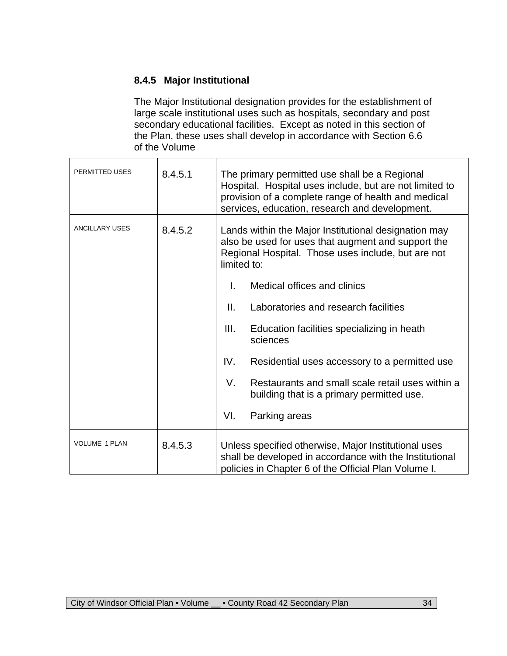### **8.4.5 Major Institutional**

The Major Institutional designation provides for the establishment of large scale institutional uses such as hospitals, secondary and post secondary educational facilities. Except as noted in this section of the Plan, these uses shall develop in accordance with Section 6.6 of the Volume

| PERMITTED USES        | 8.4.5.1 | The primary permitted use shall be a Regional<br>Hospital. Hospital uses include, but are not limited to<br>provision of a complete range of health and medical<br>services, education, research and development.                                                                                                                                                                                                                                                                                                         |
|-----------------------|---------|---------------------------------------------------------------------------------------------------------------------------------------------------------------------------------------------------------------------------------------------------------------------------------------------------------------------------------------------------------------------------------------------------------------------------------------------------------------------------------------------------------------------------|
| <b>ANCILLARY USES</b> | 8.4.5.2 | Lands within the Major Institutional designation may<br>also be used for uses that augment and support the<br>Regional Hospital. Those uses include, but are not<br>limited to:<br>Medical offices and clinics<br>L.<br>П.<br>Laboratories and research facilities<br>Ш.<br>Education facilities specializing in heath<br>sciences<br>IV.<br>Residential uses accessory to a permitted use<br>Restaurants and small scale retail uses within a<br>V.<br>building that is a primary permitted use.<br>VI.<br>Parking areas |
|                       |         |                                                                                                                                                                                                                                                                                                                                                                                                                                                                                                                           |
| <b>VOLUME 1 PLAN</b>  | 8.4.5.3 | Unless specified otherwise, Major Institutional uses<br>shall be developed in accordance with the Institutional<br>policies in Chapter 6 of the Official Plan Volume I.                                                                                                                                                                                                                                                                                                                                                   |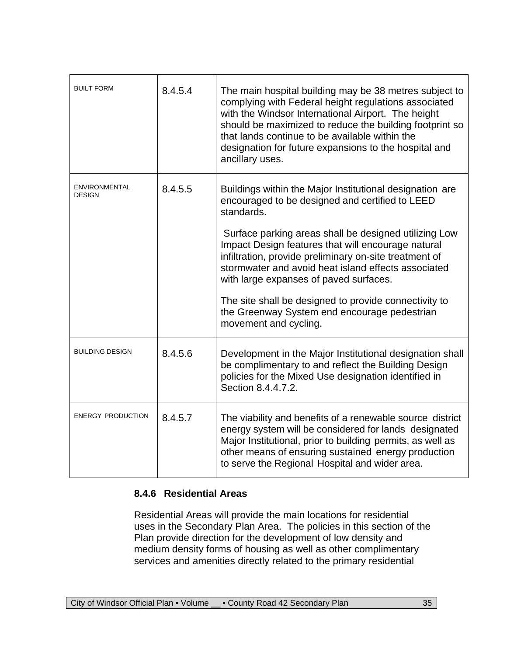| <b>BUILT FORM</b>                     | 8.4.5.4 | The main hospital building may be 38 metres subject to<br>complying with Federal height regulations associated<br>with the Windsor International Airport. The height<br>should be maximized to reduce the building footprint so<br>that lands continue to be available within the<br>designation for future expansions to the hospital and<br>ancillary uses. |
|---------------------------------------|---------|---------------------------------------------------------------------------------------------------------------------------------------------------------------------------------------------------------------------------------------------------------------------------------------------------------------------------------------------------------------|
| <b>ENVIRONMENTAL</b><br><b>DESIGN</b> | 8.4.5.5 | Buildings within the Major Institutional designation are<br>encouraged to be designed and certified to LEED<br>standards.                                                                                                                                                                                                                                     |
|                                       |         | Surface parking areas shall be designed utilizing Low<br>Impact Design features that will encourage natural<br>infiltration, provide preliminary on-site treatment of<br>stormwater and avoid heat island effects associated<br>with large expanses of paved surfaces.                                                                                        |
|                                       |         | The site shall be designed to provide connectivity to<br>the Greenway System end encourage pedestrian<br>movement and cycling.                                                                                                                                                                                                                                |
| <b>BUILDING DESIGN</b>                | 8.4.5.6 | Development in the Major Institutional designation shall<br>be complimentary to and reflect the Building Design<br>policies for the Mixed Use designation identified in<br>Section 8.4.4.7.2.                                                                                                                                                                 |
| <b>ENERGY PRODUCTION</b>              | 8.4.5.7 | The viability and benefits of a renewable source district<br>energy system will be considered for lands designated<br>Major Institutional, prior to building permits, as well as<br>other means of ensuring sustained energy production<br>to serve the Regional Hospital and wider area.                                                                     |

#### **8.4.6 Residential Areas**

Residential Areas will provide the main locations for residential uses in the Secondary Plan Area. The policies in this section of the Plan provide direction for the development of low density and medium density forms of housing as well as other complimentary services and amenities directly related to the primary residential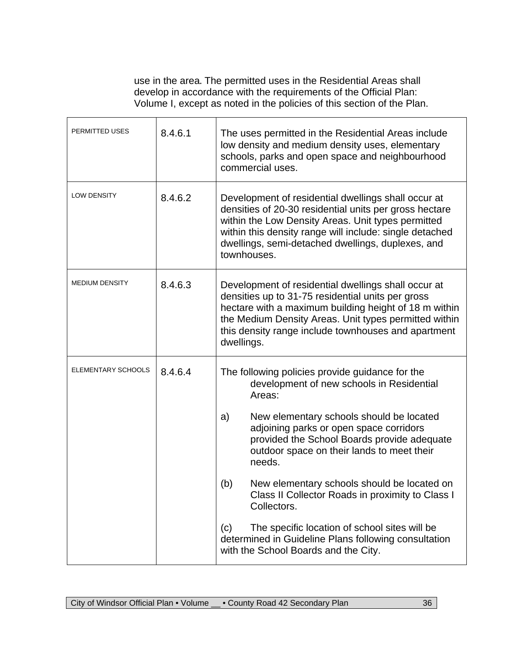use in the area. The permitted uses in the Residential Areas shall develop in accordance with the requirements of the Official Plan: Volume I, except as noted in the policies of this section of the Plan.

| PERMITTED USES        | 8.4.6.1 | The uses permitted in the Residential Areas include<br>low density and medium density uses, elementary<br>schools, parks and open space and neighbourhood<br>commercial uses.                                                                                                                      |  |
|-----------------------|---------|----------------------------------------------------------------------------------------------------------------------------------------------------------------------------------------------------------------------------------------------------------------------------------------------------|--|
| <b>LOW DENSITY</b>    | 8.4.6.2 | Development of residential dwellings shall occur at<br>densities of 20-30 residential units per gross hectare<br>within the Low Density Areas. Unit types permitted<br>within this density range will include: single detached<br>dwellings, semi-detached dwellings, duplexes, and<br>townhouses. |  |
| <b>MEDIUM DENSITY</b> | 8.4.6.3 | Development of residential dwellings shall occur at<br>densities up to 31-75 residential units per gross<br>hectare with a maximum building height of 18 m within<br>the Medium Density Areas. Unit types permitted within<br>this density range include townhouses and apartment<br>dwellings.    |  |
| ELEMENTARY SCHOOLS    | 8.4.6.4 | The following policies provide guidance for the<br>development of new schools in Residential<br>Areas:                                                                                                                                                                                             |  |
|                       |         | New elementary schools should be located<br>a)<br>adjoining parks or open space corridors<br>provided the School Boards provide adequate<br>outdoor space on their lands to meet their<br>needs.                                                                                                   |  |
|                       |         | (b)<br>New elementary schools should be located on<br>Class II Collector Roads in proximity to Class I<br>Collectors.                                                                                                                                                                              |  |
|                       |         | The specific location of school sites will be<br>(c)<br>determined in Guideline Plans following consultation<br>with the School Boards and the City.                                                                                                                                               |  |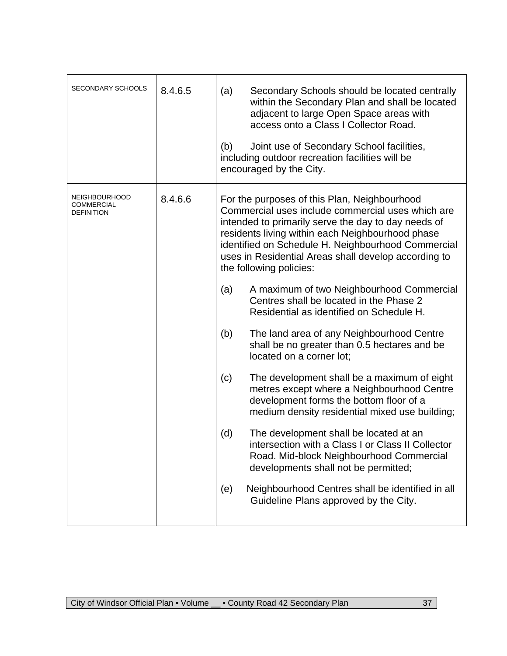| <b>SECONDARY SCHOOLS</b>                                | 8.4.6.5 | Secondary Schools should be located centrally<br>(a)<br>within the Secondary Plan and shall be located<br>adjacent to large Open Space areas with<br>access onto a Class I Collector Road.<br>Joint use of Secondary School facilities,<br>(b)<br>including outdoor recreation facilities will be<br>encouraged by the City.                          |
|---------------------------------------------------------|---------|-------------------------------------------------------------------------------------------------------------------------------------------------------------------------------------------------------------------------------------------------------------------------------------------------------------------------------------------------------|
| <b>NEIGHBOURHOOD</b><br>COMMERCIAL<br><b>DEFINITION</b> | 8.4.6.6 | For the purposes of this Plan, Neighbourhood<br>Commercial uses include commercial uses which are<br>intended to primarily serve the day to day needs of<br>residents living within each Neighbourhood phase<br>identified on Schedule H. Neighbourhood Commercial<br>uses in Residential Areas shall develop according to<br>the following policies: |
|                                                         |         | A maximum of two Neighbourhood Commercial<br>(a)<br>Centres shall be located in the Phase 2<br>Residential as identified on Schedule H.                                                                                                                                                                                                               |
|                                                         |         | (b)<br>The land area of any Neighbourhood Centre<br>shall be no greater than 0.5 hectares and be<br>located on a corner lot;                                                                                                                                                                                                                          |
|                                                         |         | The development shall be a maximum of eight<br>(c)<br>metres except where a Neighbourhood Centre<br>development forms the bottom floor of a<br>medium density residential mixed use building;                                                                                                                                                         |
|                                                         |         | (d)<br>The development shall be located at an<br>intersection with a Class I or Class II Collector<br>Road. Mid-block Neighbourhood Commercial<br>developments shall not be permitted;                                                                                                                                                                |
|                                                         |         | Neighbourhood Centres shall be identified in all<br>(e)<br>Guideline Plans approved by the City.                                                                                                                                                                                                                                                      |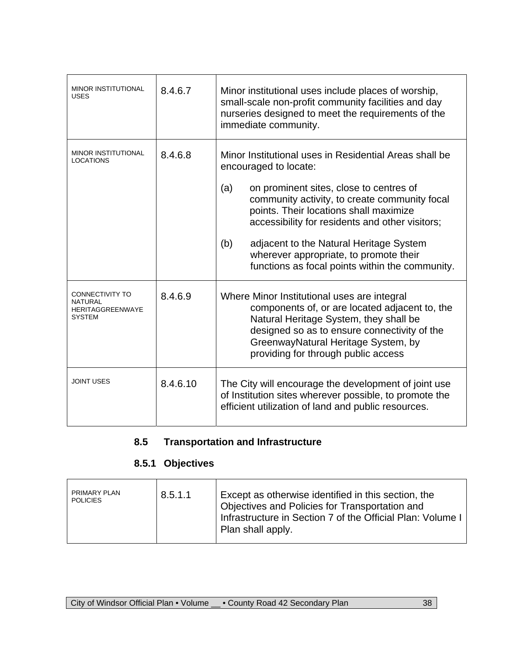| <b>MINOR INSTITUTIONAL</b><br><b>USES</b>                       | 8.4.6.7  | Minor institutional uses include places of worship,<br>small-scale non-profit community facilities and day<br>nurseries designed to meet the requirements of the<br>immediate community.                                                                                                                                                                                                                                       |
|-----------------------------------------------------------------|----------|--------------------------------------------------------------------------------------------------------------------------------------------------------------------------------------------------------------------------------------------------------------------------------------------------------------------------------------------------------------------------------------------------------------------------------|
| <b>MINOR INSTITUTIONAL</b><br><b>LOCATIONS</b>                  | 8.4.6.8  | Minor Institutional uses in Residential Areas shall be<br>encouraged to locate:<br>on prominent sites, close to centres of<br>(a)<br>community activity, to create community focal<br>points. Their locations shall maximize<br>accessibility for residents and other visitors;<br>adjacent to the Natural Heritage System<br>(b)<br>wherever appropriate, to promote their<br>functions as focal points within the community. |
| CONNECTIVITY TO<br>NATURAI<br><b>HERITAGGREENWAYE</b><br>SYSTEM | 8.4.6.9  | Where Minor Institutional uses are integral<br>components of, or are located adjacent to, the<br>Natural Heritage System, they shall be<br>designed so as to ensure connectivity of the<br>GreenwayNatural Heritage System, by<br>providing for through public access                                                                                                                                                          |
| <b>JOINT USES</b>                                               | 8.4.6.10 | The City will encourage the development of joint use<br>of Institution sites wherever possible, to promote the<br>efficient utilization of land and public resources.                                                                                                                                                                                                                                                          |

# **8.5 Transportation and Infrastructure**

# **8.5.1 Objectives**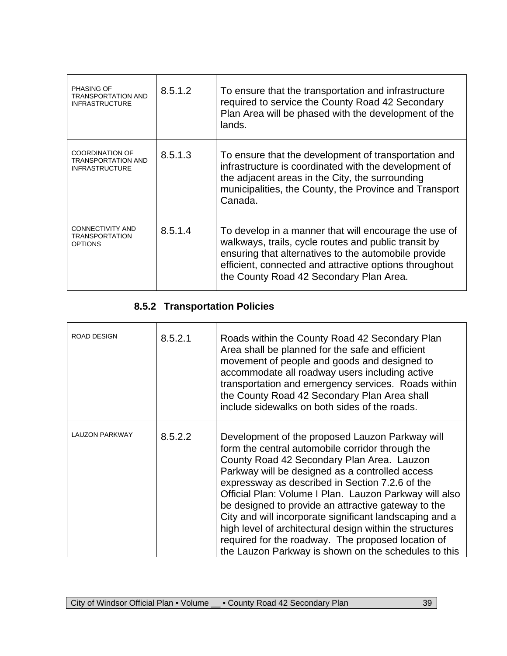| <b>PHASING OF</b><br><b>TRANSPORTATION AND</b><br><b>INFRASTRUCTURE</b>      | 8.5.1.2 | To ensure that the transportation and infrastructure<br>required to service the County Road 42 Secondary<br>Plan Area will be phased with the development of the<br>lands.                                                                                                 |
|------------------------------------------------------------------------------|---------|----------------------------------------------------------------------------------------------------------------------------------------------------------------------------------------------------------------------------------------------------------------------------|
| <b>COORDINATION OF</b><br><b>TRANSPORTATION AND</b><br><b>INFRASTRUCTURE</b> | 8.5.1.3 | To ensure that the development of transportation and<br>infrastructure is coordinated with the development of<br>the adjacent areas in the City, the surrounding<br>municipalities, the County, the Province and Transport<br>Canada.                                      |
| CONNECTIVITY AND<br><b>TRANSPORTATION</b><br><b>OPTIONS</b>                  | 8.5.1.4 | To develop in a manner that will encourage the use of<br>walkways, trails, cycle routes and public transit by<br>ensuring that alternatives to the automobile provide<br>efficient, connected and attractive options throughout<br>the County Road 42 Secondary Plan Area. |

# **8.5.2 Transportation Policies**

| <b>ROAD DESIGN</b>    | 8.5.2.1 | Roads within the County Road 42 Secondary Plan<br>Area shall be planned for the safe and efficient<br>movement of people and goods and designed to<br>accommodate all roadway users including active<br>transportation and emergency services. Roads within<br>the County Road 42 Secondary Plan Area shall<br>include sidewalks on both sides of the roads.                                                                                                                                                                                                                                                  |
|-----------------------|---------|---------------------------------------------------------------------------------------------------------------------------------------------------------------------------------------------------------------------------------------------------------------------------------------------------------------------------------------------------------------------------------------------------------------------------------------------------------------------------------------------------------------------------------------------------------------------------------------------------------------|
| <b>LAUZON PARKWAY</b> | 8.5.2.2 | Development of the proposed Lauzon Parkway will<br>form the central automobile corridor through the<br>County Road 42 Secondary Plan Area. Lauzon<br>Parkway will be designed as a controlled access<br>expressway as described in Section 7.2.6 of the<br>Official Plan: Volume I Plan. Lauzon Parkway will also<br>be designed to provide an attractive gateway to the<br>City and will incorporate significant landscaping and a<br>high level of architectural design within the structures<br>required for the roadway. The proposed location of<br>the Lauzon Parkway is shown on the schedules to this |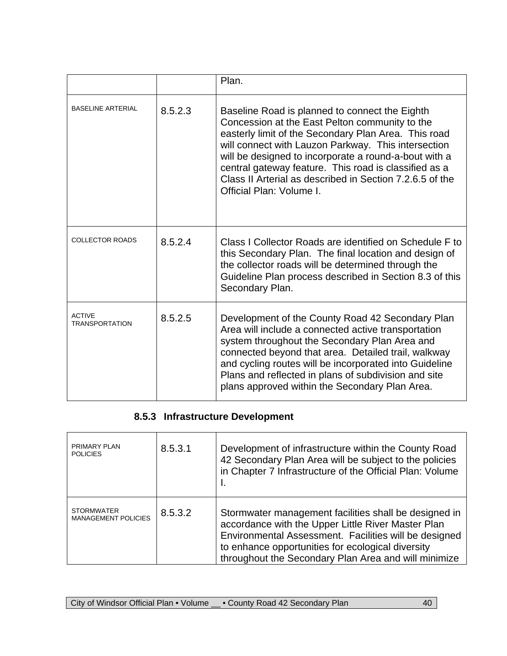|                                        |         | Plan.                                                                                                                                                                                                                                                                                                                                                                                                                     |
|----------------------------------------|---------|---------------------------------------------------------------------------------------------------------------------------------------------------------------------------------------------------------------------------------------------------------------------------------------------------------------------------------------------------------------------------------------------------------------------------|
| <b>BASELINE ARTERIAL</b>               | 8.5.2.3 | Baseline Road is planned to connect the Eighth<br>Concession at the East Pelton community to the<br>easterly limit of the Secondary Plan Area. This road<br>will connect with Lauzon Parkway. This intersection<br>will be designed to incorporate a round-a-bout with a<br>central gateway feature. This road is classified as a<br>Class II Arterial as described in Section 7.2.6.5 of the<br>Official Plan: Volume I. |
| <b>COLLECTOR ROADS</b>                 | 8.5.2.4 | Class I Collector Roads are identified on Schedule F to<br>this Secondary Plan. The final location and design of<br>the collector roads will be determined through the<br>Guideline Plan process described in Section 8.3 of this<br>Secondary Plan.                                                                                                                                                                      |
| <b>ACTIVE</b><br><b>TRANSPORTATION</b> | 8.5.2.5 | Development of the County Road 42 Secondary Plan<br>Area will include a connected active transportation<br>system throughout the Secondary Plan Area and<br>connected beyond that area. Detailed trail, walkway<br>and cycling routes will be incorporated into Guideline<br>Plans and reflected in plans of subdivision and site<br>plans approved within the Secondary Plan Area.                                       |

# **8.5.3 Infrastructure Development**

| PRIMARY PLAN<br><b>POLICIES</b>                 | 8.5.3.1 | Development of infrastructure within the County Road<br>42 Secondary Plan Area will be subject to the policies<br>in Chapter 7 Infrastructure of the Official Plan: Volume<br>۱.                                                                                                  |
|-------------------------------------------------|---------|-----------------------------------------------------------------------------------------------------------------------------------------------------------------------------------------------------------------------------------------------------------------------------------|
| <b>STORMWATER</b><br><b>MANAGEMENT POLICIES</b> | 8.5.3.2 | Stormwater management facilities shall be designed in<br>accordance with the Upper Little River Master Plan<br>Environmental Assessment. Facilities will be designed<br>to enhance opportunities for ecological diversity<br>throughout the Secondary Plan Area and will minimize |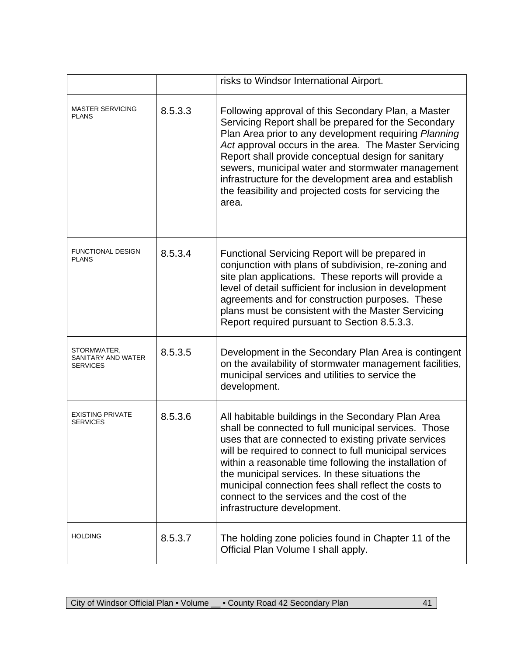|                                               |         | risks to Windsor International Airport.                                                                                                                                                                                                                                                                                                                                                                                                                                         |
|-----------------------------------------------|---------|---------------------------------------------------------------------------------------------------------------------------------------------------------------------------------------------------------------------------------------------------------------------------------------------------------------------------------------------------------------------------------------------------------------------------------------------------------------------------------|
| <b>MASTER SERVICING</b><br><b>PLANS</b>       | 8.5.3.3 | Following approval of this Secondary Plan, a Master<br>Servicing Report shall be prepared for the Secondary<br>Plan Area prior to any development requiring Planning<br>Act approval occurs in the area. The Master Servicing<br>Report shall provide conceptual design for sanitary<br>sewers, municipal water and stormwater management<br>infrastructure for the development area and establish<br>the feasibility and projected costs for servicing the<br>area.            |
| <b>FUNCTIONAL DESIGN</b><br><b>PLANS</b>      | 8.5.3.4 | Functional Servicing Report will be prepared in<br>conjunction with plans of subdivision, re-zoning and<br>site plan applications. These reports will provide a<br>level of detail sufficient for inclusion in development<br>agreements and for construction purposes. These<br>plans must be consistent with the Master Servicing<br>Report required pursuant to Section 8.5.3.3.                                                                                             |
| STORMWATER,<br>SANITARY AND WATER<br>SERVICES | 8.5.3.5 | Development in the Secondary Plan Area is contingent<br>on the availability of stormwater management facilities,<br>municipal services and utilities to service the<br>development.                                                                                                                                                                                                                                                                                             |
| <b>EXISTING PRIVATE</b><br><b>SERVICES</b>    | 8.5.3.6 | All habitable buildings in the Secondary Plan Area<br>shall be connected to full municipal services. Those<br>uses that are connected to existing private services<br>will be required to connect to full municipal services<br>within a reasonable time following the installation of<br>the municipal services. In these situations the<br>municipal connection fees shall reflect the costs to<br>connect to the services and the cost of the<br>infrastructure development. |
| <b>HOLDING</b>                                | 8.5.3.7 | The holding zone policies found in Chapter 11 of the<br>Official Plan Volume I shall apply.                                                                                                                                                                                                                                                                                                                                                                                     |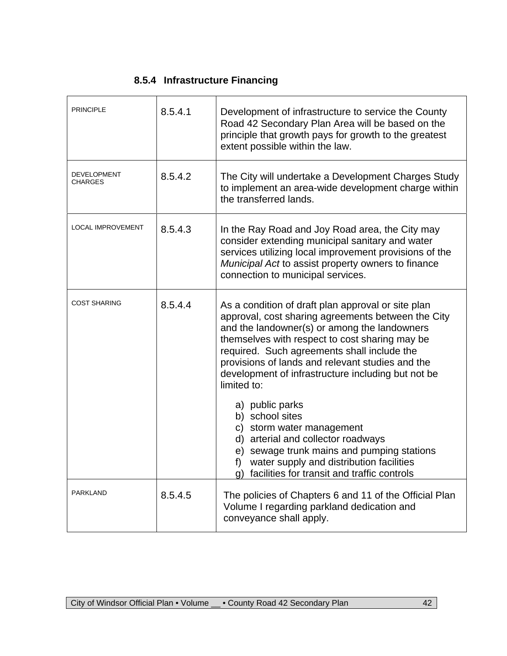# **8.5.4 Infrastructure Financing**

| <b>PRINCIPLE</b>                     | 8.5.4.1 | Development of infrastructure to service the County<br>Road 42 Secondary Plan Area will be based on the<br>principle that growth pays for growth to the greatest<br>extent possible within the law.                                                                                                                                                                                                                                                                                                                                                                                        |
|--------------------------------------|---------|--------------------------------------------------------------------------------------------------------------------------------------------------------------------------------------------------------------------------------------------------------------------------------------------------------------------------------------------------------------------------------------------------------------------------------------------------------------------------------------------------------------------------------------------------------------------------------------------|
| <b>DEVELOPMENT</b><br><b>CHARGES</b> | 8.5.4.2 | The City will undertake a Development Charges Study<br>to implement an area-wide development charge within<br>the transferred lands.                                                                                                                                                                                                                                                                                                                                                                                                                                                       |
| <b>LOCAL IMPROVEMENT</b>             | 8.5.4.3 | In the Ray Road and Joy Road area, the City may<br>consider extending municipal sanitary and water<br>services utilizing local improvement provisions of the<br>Municipal Act to assist property owners to finance<br>connection to municipal services.                                                                                                                                                                                                                                                                                                                                    |
| <b>COST SHARING</b>                  | 8.5.4.4 | As a condition of draft plan approval or site plan<br>approval, cost sharing agreements between the City<br>and the landowner(s) or among the landowners<br>themselves with respect to cost sharing may be<br>required. Such agreements shall include the<br>provisions of lands and relevant studies and the<br>development of infrastructure including but not be<br>limited to:<br>a) public parks<br>b) school sites<br>c) storm water management<br>d) arterial and collector roadways<br>e) sewage trunk mains and pumping stations<br>water supply and distribution facilities<br>f |
|                                      |         | g) facilities for transit and traffic controls                                                                                                                                                                                                                                                                                                                                                                                                                                                                                                                                             |
| <b>PARKLAND</b>                      | 8.5.4.5 | The policies of Chapters 6 and 11 of the Official Plan<br>Volume I regarding parkland dedication and<br>conveyance shall apply.                                                                                                                                                                                                                                                                                                                                                                                                                                                            |